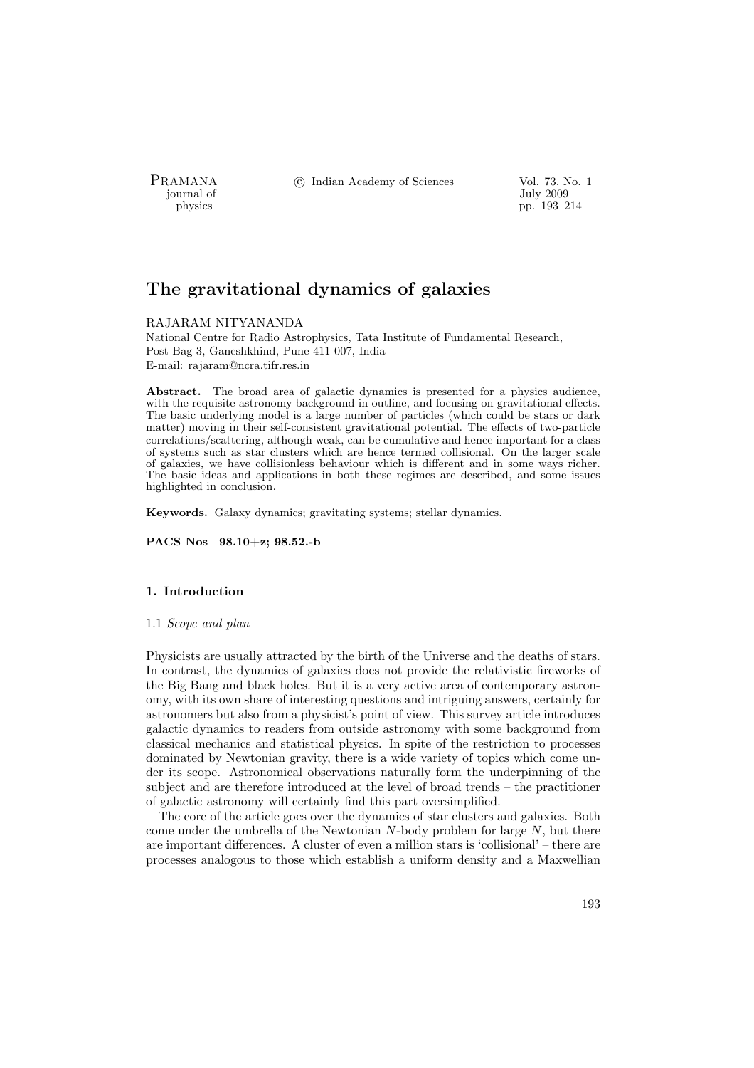- journal of<br>physics

PRAMANA °c Indian Academy of Sciences Vol. 73, No. 1

pp. 193–214

# The gravitational dynamics of galaxies

#### RAJARAM NITYANANDA

National Centre for Radio Astrophysics, Tata Institute of Fundamental Research, Post Bag 3, Ganeshkhind, Pune 411 007, India E-mail: rajaram@ncra.tifr.res.in

Abstract. The broad area of galactic dynamics is presented for a physics audience, with the requisite astronomy background in outline, and focusing on gravitational effects. The basic underlying model is a large number of particles (which could be stars or dark matter) moving in their self-consistent gravitational potential. The effects of two-particle correlations/scattering, although weak, can be cumulative and hence important for a class of systems such as star clusters which are hence termed collisional. On the larger scale of galaxies, we have collisionless behaviour which is different and in some ways richer. The basic ideas and applications in both these regimes are described, and some issues highlighted in conclusion.

Keywords. Galaxy dynamics; gravitating systems; stellar dynamics.

PACS Nos 98.10+z; 98.52.-b

## 1. Introduction

1.1 Scope and plan

Physicists are usually attracted by the birth of the Universe and the deaths of stars. In contrast, the dynamics of galaxies does not provide the relativistic fireworks of the Big Bang and black holes. But it is a very active area of contemporary astronomy, with its own share of interesting questions and intriguing answers, certainly for astronomers but also from a physicist's point of view. This survey article introduces galactic dynamics to readers from outside astronomy with some background from classical mechanics and statistical physics. In spite of the restriction to processes dominated by Newtonian gravity, there is a wide variety of topics which come under its scope. Astronomical observations naturally form the underpinning of the subject and are therefore introduced at the level of broad trends – the practitioner of galactic astronomy will certainly find this part oversimplified.

The core of the article goes over the dynamics of star clusters and galaxies. Both come under the umbrella of the Newtonian  $N$ -body problem for large  $N$ , but there are important differences. A cluster of even a million stars is 'collisional' – there are processes analogous to those which establish a uniform density and a Maxwellian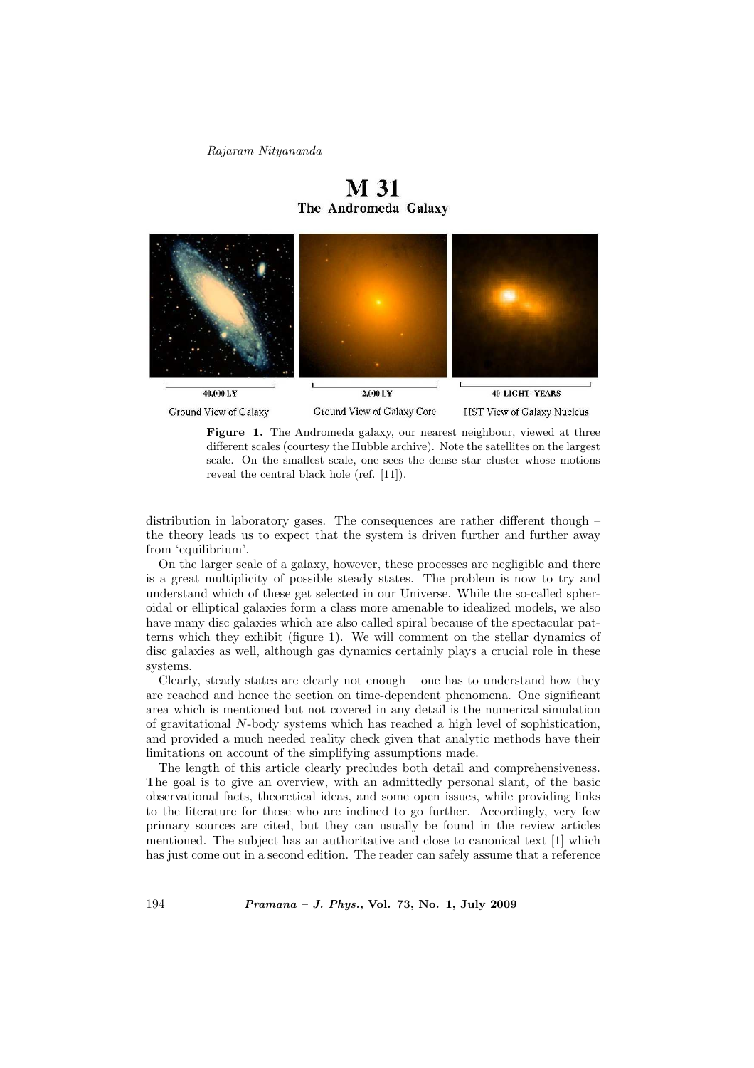# **M31** The Andromeda Galaxy



Figure 1. The Andromeda galaxy, our nearest neighbour, viewed at three different scales (courtesy the Hubble archive). Note the satellites on the largest scale. On the smallest scale, one sees the dense star cluster whose motions reveal the central black hole (ref. [11]).

distribution in laboratory gases. The consequences are rather different though – the theory leads us to expect that the system is driven further and further away from 'equilibrium'.

On the larger scale of a galaxy, however, these processes are negligible and there is a great multiplicity of possible steady states. The problem is now to try and understand which of these get selected in our Universe. While the so-called spheroidal or elliptical galaxies form a class more amenable to idealized models, we also have many disc galaxies which are also called spiral because of the spectacular patterns which they exhibit (figure 1). We will comment on the stellar dynamics of disc galaxies as well, although gas dynamics certainly plays a crucial role in these systems.

Clearly, steady states are clearly not enough – one has to understand how they are reached and hence the section on time-dependent phenomena. One significant area which is mentioned but not covered in any detail is the numerical simulation of gravitational N-body systems which has reached a high level of sophistication, and provided a much needed reality check given that analytic methods have their limitations on account of the simplifying assumptions made.

The length of this article clearly precludes both detail and comprehensiveness. The goal is to give an overview, with an admittedly personal slant, of the basic observational facts, theoretical ideas, and some open issues, while providing links to the literature for those who are inclined to go further. Accordingly, very few primary sources are cited, but they can usually be found in the review articles mentioned. The subject has an authoritative and close to canonical text [1] which has just come out in a second edition. The reader can safely assume that a reference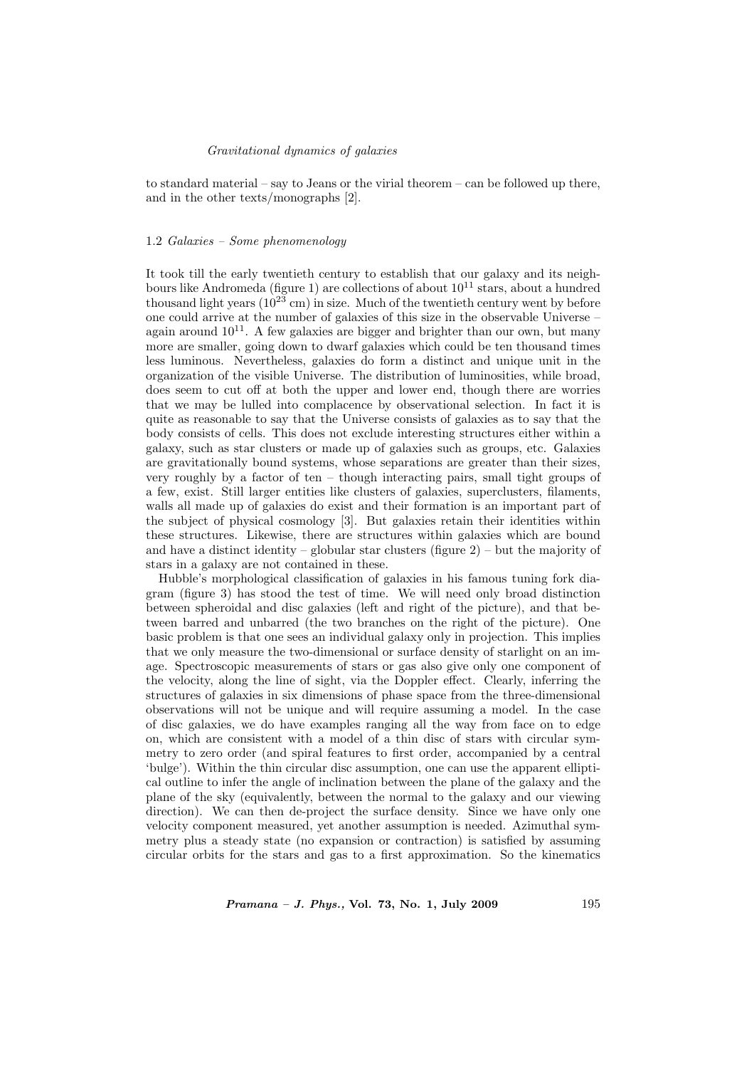to standard material – say to Jeans or the virial theorem – can be followed up there, and in the other texts/monographs [2].

## 1.2 Galaxies – Some phenomenology

It took till the early twentieth century to establish that our galaxy and its neighbours like Andromeda (figure 1) are collections of about  $10^{11}$  stars, about a hundred thousand light years  $(10^{23} \text{ cm})$  in size. Much of the twentieth century went by before one could arrive at the number of galaxies of this size in the observable Universe – again around  $10^{11}$ . A few galaxies are bigger and brighter than our own, but many more are smaller, going down to dwarf galaxies which could be ten thousand times less luminous. Nevertheless, galaxies do form a distinct and unique unit in the organization of the visible Universe. The distribution of luminosities, while broad, does seem to cut off at both the upper and lower end, though there are worries that we may be lulled into complacence by observational selection. In fact it is quite as reasonable to say that the Universe consists of galaxies as to say that the body consists of cells. This does not exclude interesting structures either within a galaxy, such as star clusters or made up of galaxies such as groups, etc. Galaxies are gravitationally bound systems, whose separations are greater than their sizes, very roughly by a factor of ten – though interacting pairs, small tight groups of a few, exist. Still larger entities like clusters of galaxies, superclusters, filaments, walls all made up of galaxies do exist and their formation is an important part of the subject of physical cosmology [3]. But galaxies retain their identities within these structures. Likewise, there are structures within galaxies which are bound and have a distinct identity – globular star clusters (figure  $2$ ) – but the majority of stars in a galaxy are not contained in these.

Hubble's morphological classification of galaxies in his famous tuning fork diagram (figure 3) has stood the test of time. We will need only broad distinction between spheroidal and disc galaxies (left and right of the picture), and that between barred and unbarred (the two branches on the right of the picture). One basic problem is that one sees an individual galaxy only in projection. This implies that we only measure the two-dimensional or surface density of starlight on an image. Spectroscopic measurements of stars or gas also give only one component of the velocity, along the line of sight, via the Doppler effect. Clearly, inferring the structures of galaxies in six dimensions of phase space from the three-dimensional observations will not be unique and will require assuming a model. In the case of disc galaxies, we do have examples ranging all the way from face on to edge on, which are consistent with a model of a thin disc of stars with circular symmetry to zero order (and spiral features to first order, accompanied by a central 'bulge'). Within the thin circular disc assumption, one can use the apparent elliptical outline to infer the angle of inclination between the plane of the galaxy and the plane of the sky (equivalently, between the normal to the galaxy and our viewing direction). We can then de-project the surface density. Since we have only one velocity component measured, yet another assumption is needed. Azimuthal symmetry plus a steady state (no expansion or contraction) is satisfied by assuming circular orbits for the stars and gas to a first approximation. So the kinematics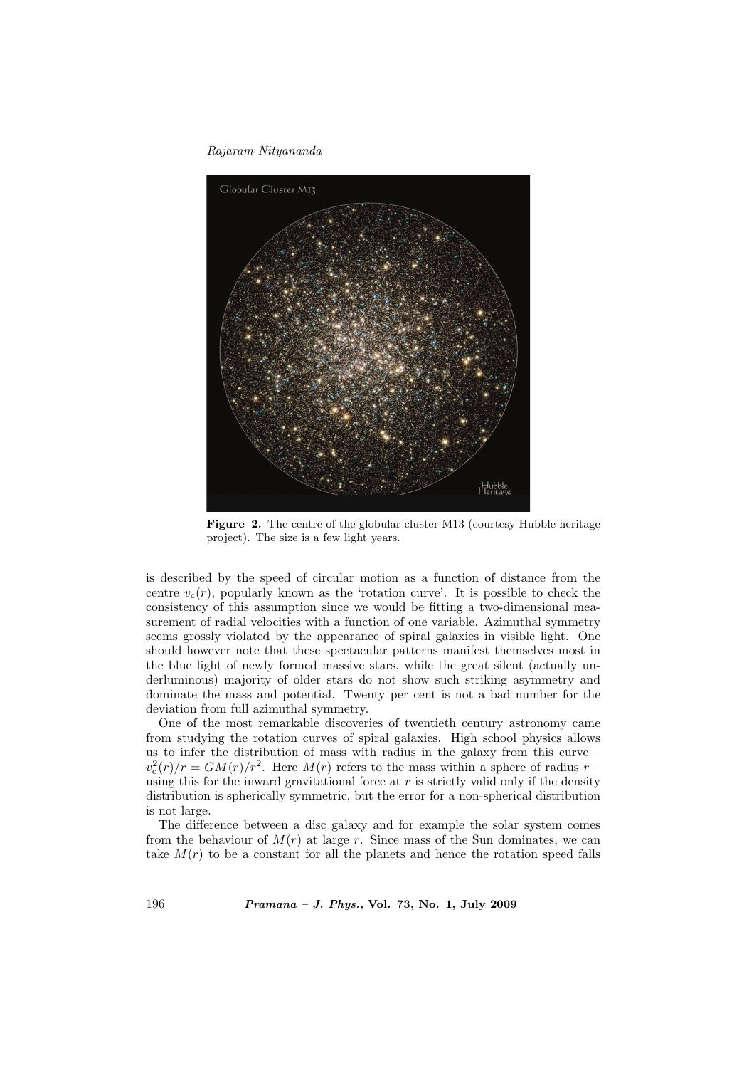

Figure 2. The centre of the globular cluster M13 (courtesy Hubble heritage project). The size is a few light years.

is described by the speed of circular motion as a function of distance from the centre  $v_c(r)$ , popularly known as the 'rotation curve'. It is possible to check the consistency of this assumption since we would be fitting a two-dimensional measurement of radial velocities with a function of one variable. Azimuthal symmetry seems grossly violated by the appearance of spiral galaxies in visible light. One should however note that these spectacular patterns manifest themselves most in the blue light of newly formed massive stars, while the great silent (actually underluminous) majority of older stars do not show such striking asymmetry and dominate the mass and potential. Twenty per cent is not a bad number for the deviation from full azimuthal symmetry.

One of the most remarkable discoveries of twentieth century astronomy came from studying the rotation curves of spiral galaxies. High school physics allows us to infer the distribution of mass with radius in the galaxy from this curve –  $v_c^2(r)/r = GM(r)/r^2$ . Here  $M(r)$  refers to the mass within a sphere of radius  $r$ using this for the inward gravitational force at  $r$  is strictly valid only if the density distribution is spherically symmetric, but the error for a non-spherical distribution is not large.

The difference between a disc galaxy and for example the solar system comes from the behaviour of  $M(r)$  at large r. Since mass of the Sun dominates, we can take  $M(r)$  to be a constant for all the planets and hence the rotation speed falls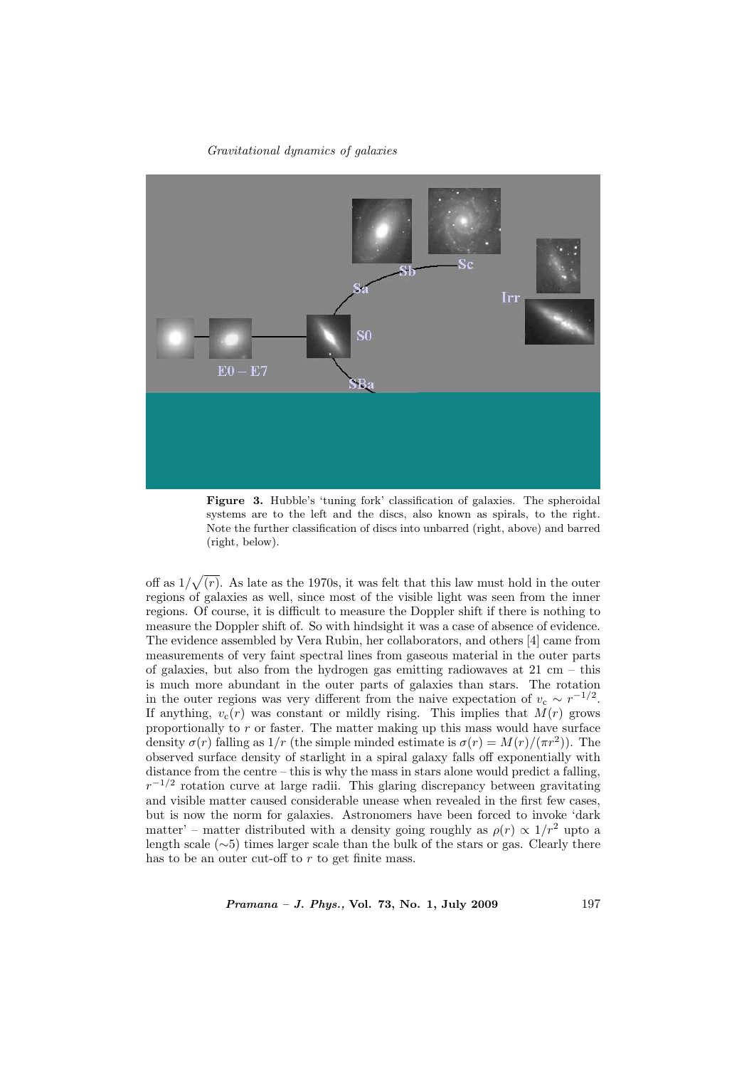

Figure 3. Hubble's 'tuning fork' classification of galaxies. The spheroidal systems are to the left and the discs, also known as spirals, to the right. Note the further classification of discs into unbarred (right, above) and barred (right, below).

off as  $1/$ p  $(r)$ . As late as the 1970s, it was felt that this law must hold in the outer regions of galaxies as well, since most of the visible light was seen from the inner regions. Of course, it is difficult to measure the Doppler shift if there is nothing to measure the Doppler shift of. So with hindsight it was a case of absence of evidence. The evidence assembled by Vera Rubin, her collaborators, and others [4] came from measurements of very faint spectral lines from gaseous material in the outer parts of galaxies, but also from the hydrogen gas emitting radiowaves at 21 cm – this is much more abundant in the outer parts of galaxies than stars. The rotation in the outer regions was very different from the naive expectation of  $v_c \sim r^{-1/2}$ . If anything,  $v_c(r)$  was constant or mildly rising. This implies that  $M(r)$  grows proportionally to  $r$  or faster. The matter making up this mass would have surface density  $\sigma(r)$  falling as  $1/r$  (the simple minded estimate is  $\sigma(r) = M(r)/(\pi r^2)$ ). The observed surface density of starlight in a spiral galaxy falls off exponentially with distance from the centre – this is why the mass in stars alone would predict a falling,  $r^{-1/2}$  rotation curve at large radii. This glaring discrepancy between gravitating and visible matter caused considerable unease when revealed in the first few cases, but is now the norm for galaxies. Astronomers have been forced to invoke 'dark matter' – matter distributed with a density going roughly as  $\rho(r) \propto 1/r^2$  upto a length scale (∼5) times larger scale than the bulk of the stars or gas. Clearly there has to be an outer cut-off to  $r$  to get finite mass.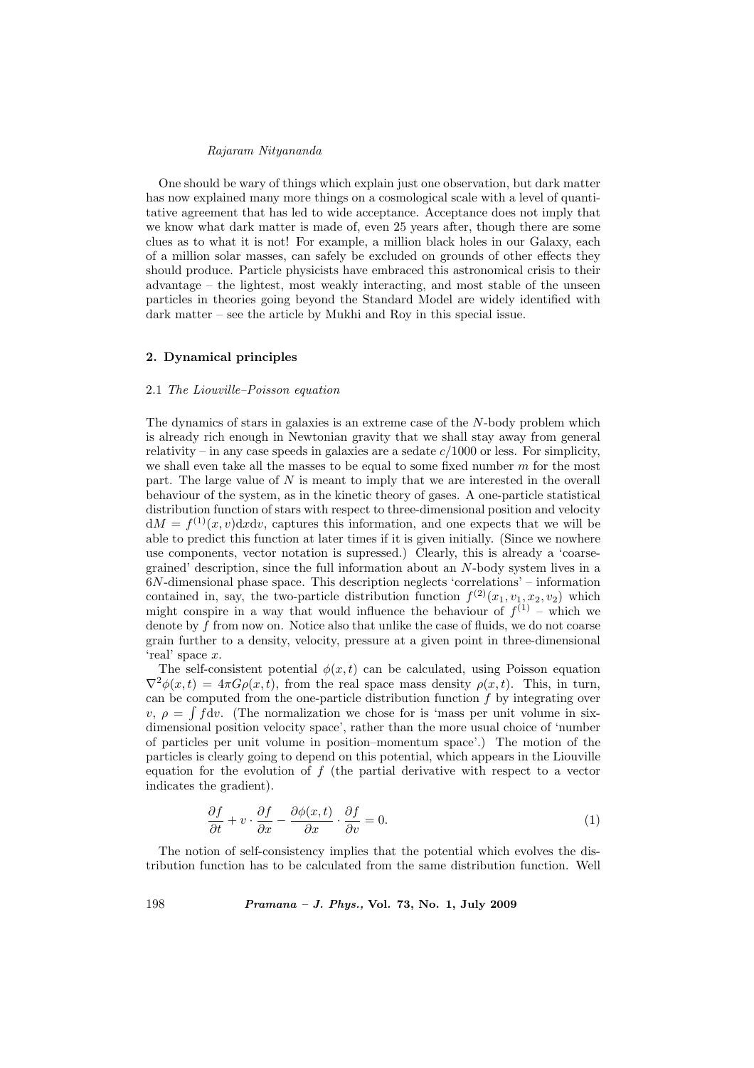One should be wary of things which explain just one observation, but dark matter has now explained many more things on a cosmological scale with a level of quantitative agreement that has led to wide acceptance. Acceptance does not imply that we know what dark matter is made of, even 25 years after, though there are some clues as to what it is not! For example, a million black holes in our Galaxy, each of a million solar masses, can safely be excluded on grounds of other effects they should produce. Particle physicists have embraced this astronomical crisis to their advantage – the lightest, most weakly interacting, and most stable of the unseen particles in theories going beyond the Standard Model are widely identified with dark matter – see the article by Mukhi and Roy in this special issue.

## 2. Dynamical principles

#### 2.1 The Liouville–Poisson equation

The dynamics of stars in galaxies is an extreme case of the N-body problem which is already rich enough in Newtonian gravity that we shall stay away from general relativity – in any case speeds in galaxies are a sedate  $c/1000$  or less. For simplicity, we shall even take all the masses to be equal to some fixed number  $m$  for the most part. The large value of N is meant to imply that we are interested in the overall behaviour of the system, as in the kinetic theory of gases. A one-particle statistical distribution function of stars with respect to three-dimensional position and velocity  $dM = f^{(1)}(x, v) dxdv$ , captures this information, and one expects that we will be able to predict this function at later times if it is given initially. (Since we nowhere use components, vector notation is supressed.) Clearly, this is already a 'coarsegrained' description, since the full information about an N-body system lives in a 6N-dimensional phase space. This description neglects 'correlations' – information contained in, say, the two-particle distribution function  $f^{(2)}(x_1, v_1, x_2, v_2)$  which might conspire in a way that would influence the behaviour of  $f^{(1)}$  – which we denote by f from now on. Notice also that unlike the case of fluids, we do not coarse grain further to a density, velocity, pressure at a given point in three-dimensional 'real' space x.

The self-consistent potential  $\phi(x, t)$  can be calculated, using Poisson equation  $\nabla^2 \phi(x,t) = 4\pi G \rho(x,t)$ , from the real space mass density  $\rho(x,t)$ . This, in turn, can be computed from the one-particle distribution function  $f$  by integrating over  $v, \rho = \int f dv.$  (The normalization we chose for is 'mass per unit volume in sixdimensional position velocity space', rather than the more usual choice of 'number of particles per unit volume in position–momentum space'.) The motion of the particles is clearly going to depend on this potential, which appears in the Liouville equation for the evolution of  $f$  (the partial derivative with respect to a vector indicates the gradient).

$$
\frac{\partial f}{\partial t} + v \cdot \frac{\partial f}{\partial x} - \frac{\partial \phi(x, t)}{\partial x} \cdot \frac{\partial f}{\partial v} = 0.
$$
\n(1)

The notion of self-consistency implies that the potential which evolves the distribution function has to be calculated from the same distribution function. Well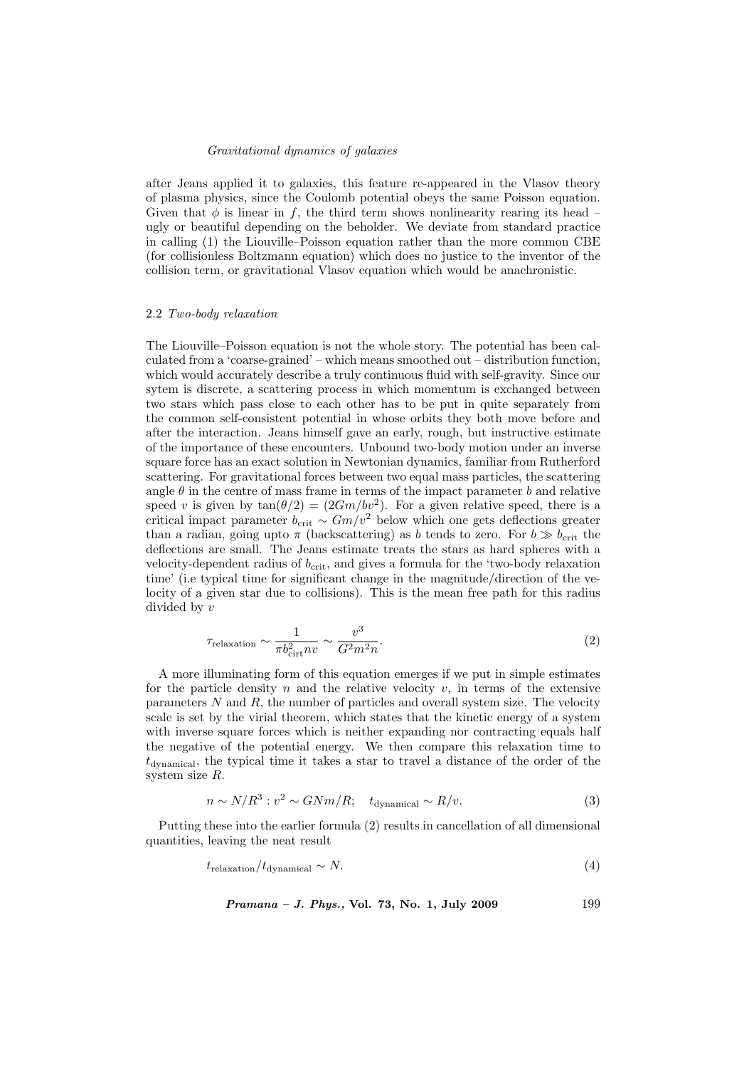after Jeans applied it to galaxies, this feature re-appeared in the Vlasov theory of plasma physics, since the Coulomb potential obeys the same Poisson equation. Given that  $\phi$  is linear in f, the third term shows nonlinearity rearing its head – ugly or beautiful depending on the beholder. We deviate from standard practice in calling (1) the Liouville–Poisson equation rather than the more common CBE (for collisionless Boltzmann equation) which does no justice to the inventor of the collision term, or gravitational Vlasov equation which would be anachronistic.

#### 2.2 Two-body relaxation

The Liouville–Poisson equation is not the whole story. The potential has been calculated from a 'coarse-grained' – which means smoothed out – distribution function, which would accurately describe a truly continuous fluid with self-gravity. Since our sytem is discrete, a scattering process in which momentum is exchanged between two stars which pass close to each other has to be put in quite separately from the common self-consistent potential in whose orbits they both move before and after the interaction. Jeans himself gave an early, rough, but instructive estimate of the importance of these encounters. Unbound two-body motion under an inverse square force has an exact solution in Newtonian dynamics, familiar from Rutherford scattering. For gravitational forces between two equal mass particles, the scattering angle  $\theta$  in the centre of mass frame in terms of the impact parameter b and relative speed v is given by  $tan(\theta/2) = (2Gm/bv^2)$ . For a given relative speed, there is a critical impact parameter  $b_{\text{crit}} \sim Gm/v^2$  below which one gets deflections greater than a radian, going upto  $\pi$  (backscattering) as b tends to zero. For  $b \gg b_{\rm crit}$  the deflections are small. The Jeans estimate treats the stars as hard spheres with a velocity-dependent radius of  $b_{\text{crit}}$ , and gives a formula for the 'two-body relaxation time' (i.e typical time for significant change in the magnitude/direction of the velocity of a given star due to collisions). This is the mean free path for this radius divided by v

$$
\tau_{\text{relaxation}} \sim \frac{1}{\pi b_{\text{cirt}}^2 n v} \sim \frac{v^3}{G^2 m^2 n}.
$$
\n
$$
\tag{2}
$$

A more illuminating form of this equation emerges if we put in simple estimates for the particle density n and the relative velocity v, in terms of the extensive parameters  $N$  and  $R$ , the number of particles and overall system size. The velocity scale is set by the virial theorem, which states that the kinetic energy of a system with inverse square forces which is neither expanding nor contracting equals half the negative of the potential energy. We then compare this relaxation time to  $t_{\text{dynamical}}$ , the typical time it takes a star to travel a distance of the order of the system size R.

$$
n \sim N/R^3 : v^2 \sim GNm/R; \quad t_{\text{dynamical}} \sim R/v. \tag{3}
$$

Putting these into the earlier formula (2) results in cancellation of all dimensional quantities, leaving the neat result

$$
t_{\text{relaxation}}/t_{\text{dynamical}} \sim N. \tag{4}
$$

Pramana – J. Phys., Vol. 73, No. 1, July 2009 199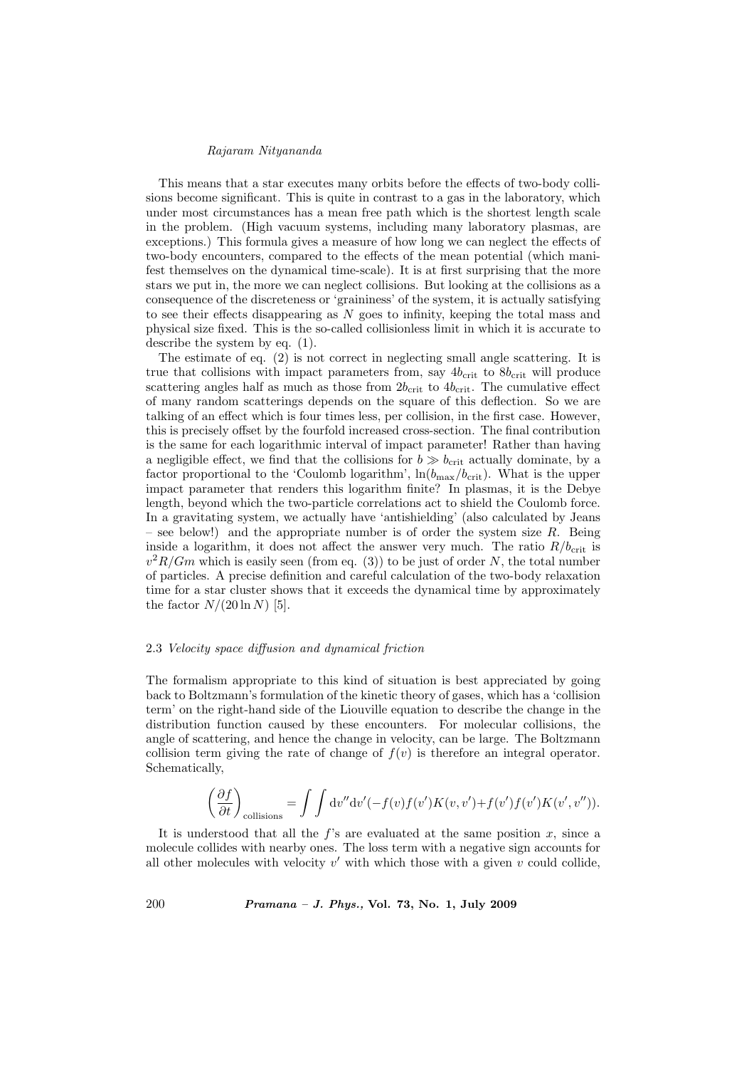This means that a star executes many orbits before the effects of two-body collisions become significant. This is quite in contrast to a gas in the laboratory, which under most circumstances has a mean free path which is the shortest length scale in the problem. (High vacuum systems, including many laboratory plasmas, are exceptions.) This formula gives a measure of how long we can neglect the effects of two-body encounters, compared to the effects of the mean potential (which manifest themselves on the dynamical time-scale). It is at first surprising that the more stars we put in, the more we can neglect collisions. But looking at the collisions as a consequence of the discreteness or 'graininess' of the system, it is actually satisfying to see their effects disappearing as  $N$  goes to infinity, keeping the total mass and physical size fixed. This is the so-called collisionless limit in which it is accurate to describe the system by eq. (1).

The estimate of eq. (2) is not correct in neglecting small angle scattering. It is true that collisions with impact parameters from, say  $4b_{\rm crit}$  to  $8b_{\rm crit}$  will produce scattering angles half as much as those from  $2b_{\text{crit}}$  to  $4b_{\text{crit}}$ . The cumulative effect of many random scatterings depends on the square of this deflection. So we are talking of an effect which is four times less, per collision, in the first case. However, this is precisely offset by the fourfold increased cross-section. The final contribution is the same for each logarithmic interval of impact parameter! Rather than having a negligible effect, we find that the collisions for  $b \gg b_{\rm crit}$  actually dominate, by a factor proportional to the 'Coulomb logarithm',  $\ln(b_{\text{max}}/b_{\text{crit}})$ . What is the upper impact parameter that renders this logarithm finite? In plasmas, it is the Debye length, beyond which the two-particle correlations act to shield the Coulomb force. In a gravitating system, we actually have 'antishielding' (also calculated by Jeans – see below!) and the appropriate number is of order the system size  $R$ . Being inside a logarithm, it does not affect the answer very much. The ratio  $R/b_{\text{crit}}$  is  $v^2R/Gm$  which is easily seen (from eq. (3)) to be just of order N, the total number of particles. A precise definition and careful calculation of the two-body relaxation time for a star cluster shows that it exceeds the dynamical time by approximately the factor  $N/(20 \ln N)$  [5].

#### 2.3 Velocity space diffusion and dynamical friction

The formalism appropriate to this kind of situation is best appreciated by going back to Boltzmann's formulation of the kinetic theory of gases, which has a 'collision term' on the right-hand side of the Liouville equation to describe the change in the distribution function caused by these encounters. For molecular collisions, the angle of scattering, and hence the change in velocity, can be large. The Boltzmann collision term giving the rate of change of  $f(v)$  is therefore an integral operator. Schematically,

$$
\left(\frac{\partial f}{\partial t}\right)_{\text{collisions}} = \int \int \mathrm{d}v'' \mathrm{d}v' (-f(v)f(v')K(v,v') + f(v')f(v')K(v',v'')).
$$

It is understood that all the  $f$ 's are evaluated at the same position  $x$ , since a molecule collides with nearby ones. The loss term with a negative sign accounts for all other molecules with velocity  $v'$  with which those with a given  $v$  could collide,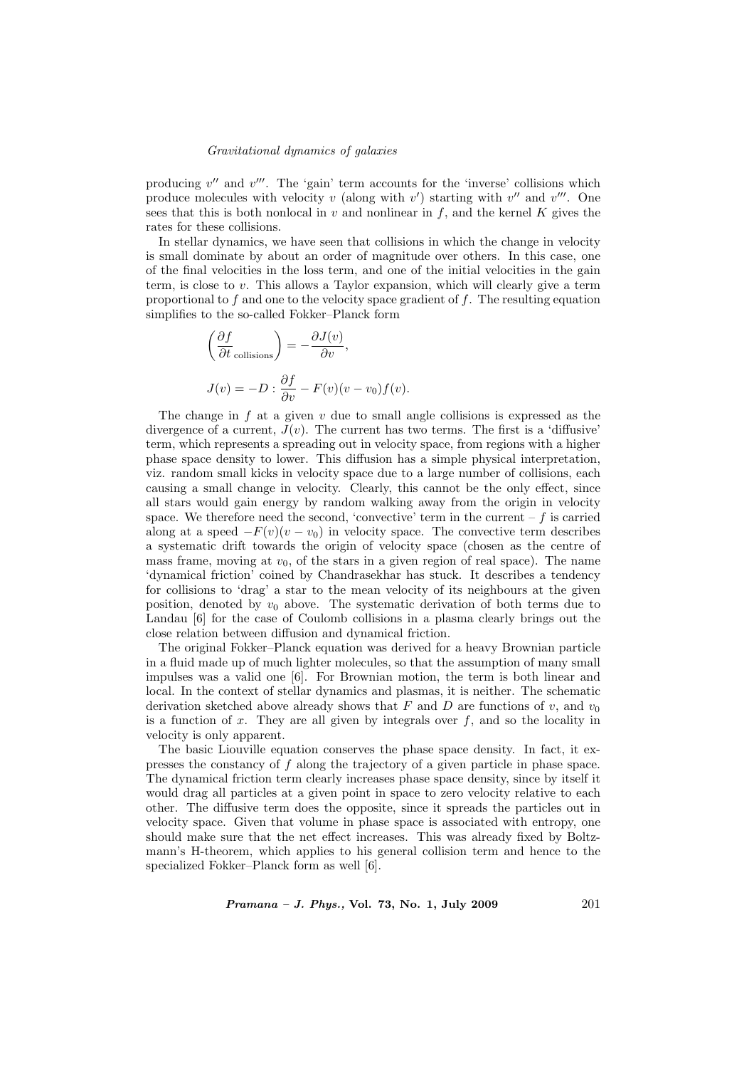producing  $v''$  and  $v'''$ . The 'gain' term accounts for the 'inverse' collisions which produce molecules with velocity v (along with v') starting with  $v''$  and  $v'''$ . One sees that this is both nonlocal in  $v$  and nonlinear in  $f$ , and the kernel  $K$  gives the rates for these collisions.

In stellar dynamics, we have seen that collisions in which the change in velocity is small dominate by about an order of magnitude over others. In this case, one of the final velocities in the loss term, and one of the initial velocities in the gain term, is close to v. This allows a Taylor expansion, which will clearly give a term proportional to  $f$  and one to the velocity space gradient of  $f$ . The resulting equation simplifies to the so-called Fokker–Planck form

$$
\left(\frac{\partial f}{\partial t}\right)_{\text{collisions}} = -\frac{\partial J(v)}{\partial v},
$$

$$
J(v) = -D : \frac{\partial f}{\partial v} - F(v)(v - v_0)f(v).
$$

The change in  $f$  at a given  $v$  due to small angle collisions is expressed as the divergence of a current,  $J(v)$ . The current has two terms. The first is a 'diffusive' term, which represents a spreading out in velocity space, from regions with a higher phase space density to lower. This diffusion has a simple physical interpretation, viz. random small kicks in velocity space due to a large number of collisions, each causing a small change in velocity. Clearly, this cannot be the only effect, since all stars would gain energy by random walking away from the origin in velocity space. We therefore need the second, 'convective' term in the current  $- f$  is carried along at a speed  $-F(v)(v - v_0)$  in velocity space. The convective term describes a systematic drift towards the origin of velocity space (chosen as the centre of mass frame, moving at  $v_0$ , of the stars in a given region of real space). The name 'dynamical friction' coined by Chandrasekhar has stuck. It describes a tendency for collisions to 'drag' a star to the mean velocity of its neighbours at the given position, denoted by  $v_0$  above. The systematic derivation of both terms due to Landau [6] for the case of Coulomb collisions in a plasma clearly brings out the close relation between diffusion and dynamical friction.

The original Fokker–Planck equation was derived for a heavy Brownian particle in a fluid made up of much lighter molecules, so that the assumption of many small impulses was a valid one [6]. For Brownian motion, the term is both linear and local. In the context of stellar dynamics and plasmas, it is neither. The schematic derivation sketched above already shows that F and D are functions of v, and  $v_0$ is a function of  $x$ . They are all given by integrals over  $f$ , and so the locality in velocity is only apparent.

The basic Liouville equation conserves the phase space density. In fact, it expresses the constancy of f along the trajectory of a given particle in phase space. The dynamical friction term clearly increases phase space density, since by itself it would drag all particles at a given point in space to zero velocity relative to each other. The diffusive term does the opposite, since it spreads the particles out in velocity space. Given that volume in phase space is associated with entropy, one should make sure that the net effect increases. This was already fixed by Boltzmann's H-theorem, which applies to his general collision term and hence to the specialized Fokker–Planck form as well [6].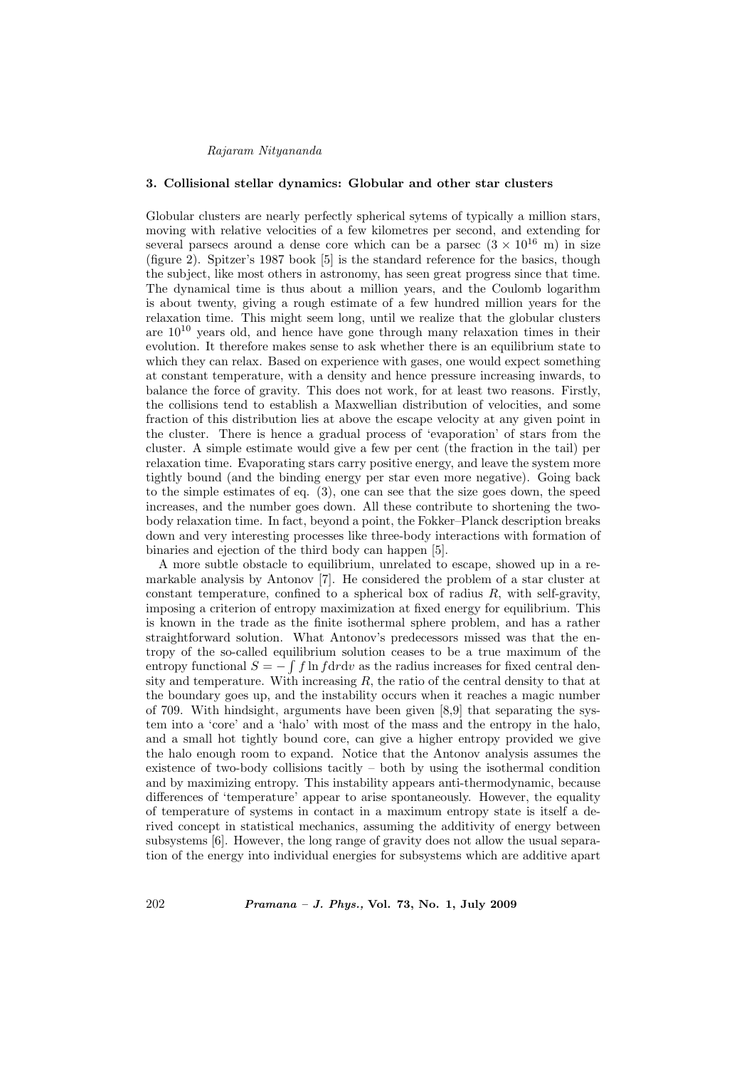## 3. Collisional stellar dynamics: Globular and other star clusters

Globular clusters are nearly perfectly spherical sytems of typically a million stars, moving with relative velocities of a few kilometres per second, and extending for several parsecs around a dense core which can be a parsec  $(3 \times 10^{16} \text{ m})$  in size (figure 2). Spitzer's 1987 book [5] is the standard reference for the basics, though the subject, like most others in astronomy, has seen great progress since that time. The dynamical time is thus about a million years, and the Coulomb logarithm is about twenty, giving a rough estimate of a few hundred million years for the relaxation time. This might seem long, until we realize that the globular clusters are 10<sup>10</sup> years old, and hence have gone through many relaxation times in their evolution. It therefore makes sense to ask whether there is an equilibrium state to which they can relax. Based on experience with gases, one would expect something at constant temperature, with a density and hence pressure increasing inwards, to balance the force of gravity. This does not work, for at least two reasons. Firstly, the collisions tend to establish a Maxwellian distribution of velocities, and some fraction of this distribution lies at above the escape velocity at any given point in the cluster. There is hence a gradual process of 'evaporation' of stars from the cluster. A simple estimate would give a few per cent (the fraction in the tail) per relaxation time. Evaporating stars carry positive energy, and leave the system more tightly bound (and the binding energy per star even more negative). Going back to the simple estimates of eq. (3), one can see that the size goes down, the speed increases, and the number goes down. All these contribute to shortening the twobody relaxation time. In fact, beyond a point, the Fokker–Planck description breaks down and very interesting processes like three-body interactions with formation of binaries and ejection of the third body can happen [5].

A more subtle obstacle to equilibrium, unrelated to escape, showed up in a remarkable analysis by Antonov [7]. He considered the problem of a star cluster at constant temperature, confined to a spherical box of radius  $R$ , with self-gravity, imposing a criterion of entropy maximization at fixed energy for equilibrium. This is known in the trade as the finite isothermal sphere problem, and has a rather straightforward solution. What Antonov's predecessors missed was that the entropy of the so-called equilibrium solution ceases to be a true maximum of the entropy functional  $S = -\int f \ln f dr dv$  as the radius increases for fixed central density and temperature. With increasing  $R$ , the ratio of the central density to that at the boundary goes up, and the instability occurs when it reaches a magic number of 709. With hindsight, arguments have been given [8,9] that separating the system into a 'core' and a 'halo' with most of the mass and the entropy in the halo, and a small hot tightly bound core, can give a higher entropy provided we give the halo enough room to expand. Notice that the Antonov analysis assumes the existence of two-body collisions tacitly – both by using the isothermal condition and by maximizing entropy. This instability appears anti-thermodynamic, because differences of 'temperature' appear to arise spontaneously. However, the equality of temperature of systems in contact in a maximum entropy state is itself a derived concept in statistical mechanics, assuming the additivity of energy between subsystems [6]. However, the long range of gravity does not allow the usual separation of the energy into individual energies for subsystems which are additive apart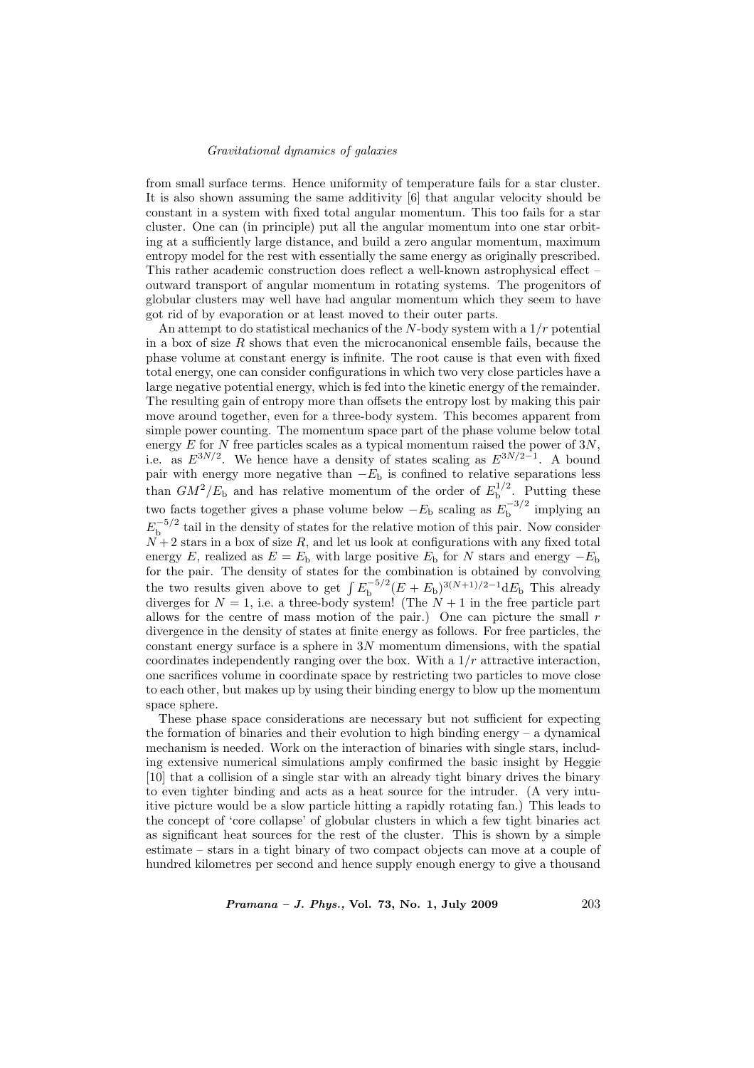from small surface terms. Hence uniformity of temperature fails for a star cluster. It is also shown assuming the same additivity [6] that angular velocity should be constant in a system with fixed total angular momentum. This too fails for a star cluster. One can (in principle) put all the angular momentum into one star orbiting at a sufficiently large distance, and build a zero angular momentum, maximum entropy model for the rest with essentially the same energy as originally prescribed. This rather academic construction does reflect a well-known astrophysical effect – outward transport of angular momentum in rotating systems. The progenitors of globular clusters may well have had angular momentum which they seem to have got rid of by evaporation or at least moved to their outer parts.

An attempt to do statistical mechanics of the N-body system with a  $1/r$  potential in a box of size  $R$  shows that even the microcanonical ensemble fails, because the phase volume at constant energy is infinite. The root cause is that even with fixed total energy, one can consider configurations in which two very close particles have a large negative potential energy, which is fed into the kinetic energy of the remainder. The resulting gain of entropy more than offsets the entropy lost by making this pair move around together, even for a three-body system. This becomes apparent from simple power counting. The momentum space part of the phase volume below total energy  $E$  for  $N$  free particles scales as a typical momentum raised the power of  $3N$ , i.e. as  $E^{3N/2}$ . We hence have a density of states scaling as  $E^{3N/2-1}$ . A bound pair with energy more negative than  $-E<sub>b</sub>$  is confined to relative separations less than  $GM^2/E_b$  and has relative momentum of the order of  $E_b^{1/2}$  $b^{\frac{1}{2}}$ . Putting these two facts together gives a phase volume below  $-E<sub>b</sub>$  scaling as  $E<sub>b</sub><sup>-3/2</sup>$  $\int_{b}^{-3/2}$  implying an  $E_{\rm b}^{-5/2}$  $b<sub>b</sub>$ <sup>-3/2</sup> tail in the density of states for the relative motion of this pair. Now consider  $N+2$  stars in a box of size R, and let us look at configurations with any fixed total energy E, realized as  $E = E<sub>b</sub>$  with large positive  $E<sub>b</sub>$  for N stars and energy  $-E<sub>b</sub>$ for the pair. The density of states for the combination is obtained by convolving the two results given above to get  $\int E_h^{-5/2}$  $b^{(-5/2)}(E + E_b)^{3(N+1)/2-1} dE_b$  This already diverges for  $N = 1$ , i.e. a three-body system! (The  $N + 1$  in the free particle part allows for the centre of mass motion of the pair.) One can picture the small  $r$ divergence in the density of states at finite energy as follows. For free particles, the constant energy surface is a sphere in  $3N$  momentum dimensions, with the spatial coordinates independently ranging over the box. With a  $1/r$  attractive interaction, one sacrifices volume in coordinate space by restricting two particles to move close to each other, but makes up by using their binding energy to blow up the momentum space sphere.

These phase space considerations are necessary but not sufficient for expecting the formation of binaries and their evolution to high binding energy  $-$  a dynamical mechanism is needed. Work on the interaction of binaries with single stars, including extensive numerical simulations amply confirmed the basic insight by Heggie [10] that a collision of a single star with an already tight binary drives the binary to even tighter binding and acts as a heat source for the intruder. (A very intuitive picture would be a slow particle hitting a rapidly rotating fan.) This leads to the concept of 'core collapse' of globular clusters in which a few tight binaries act as significant heat sources for the rest of the cluster. This is shown by a simple estimate – stars in a tight binary of two compact objects can move at a couple of hundred kilometres per second and hence supply enough energy to give a thousand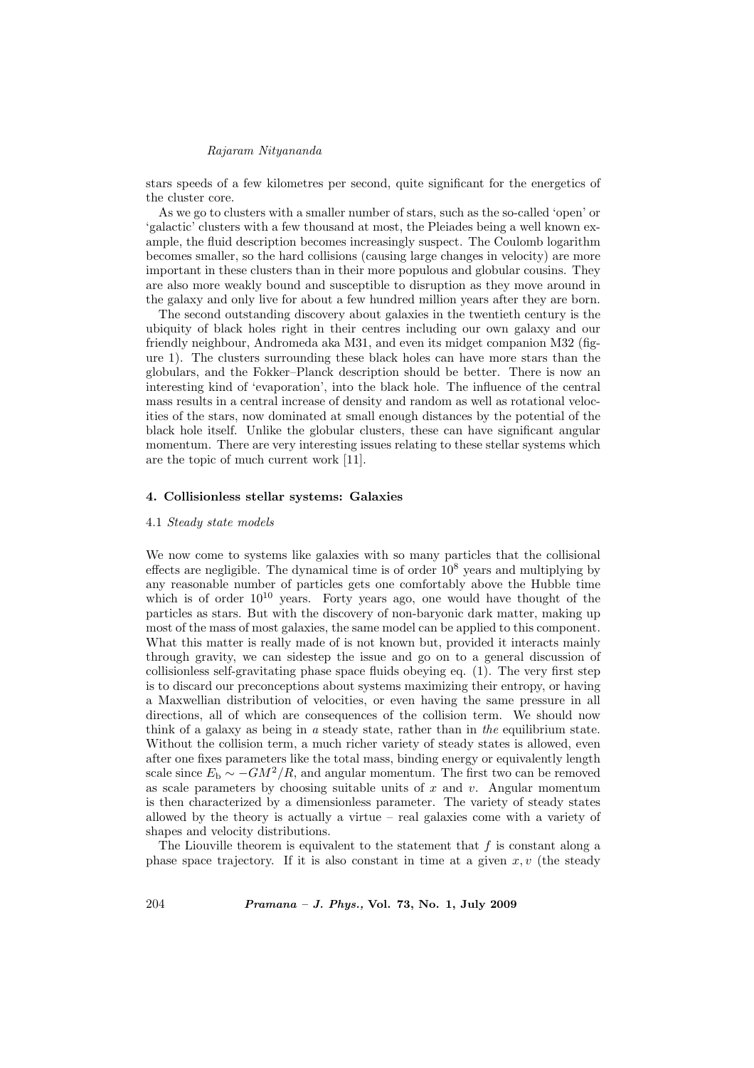stars speeds of a few kilometres per second, quite significant for the energetics of the cluster core.

As we go to clusters with a smaller number of stars, such as the so-called 'open' or 'galactic' clusters with a few thousand at most, the Pleiades being a well known example, the fluid description becomes increasingly suspect. The Coulomb logarithm becomes smaller, so the hard collisions (causing large changes in velocity) are more important in these clusters than in their more populous and globular cousins. They are also more weakly bound and susceptible to disruption as they move around in the galaxy and only live for about a few hundred million years after they are born.

The second outstanding discovery about galaxies in the twentieth century is the ubiquity of black holes right in their centres including our own galaxy and our friendly neighbour, Andromeda aka M31, and even its midget companion M32 (figure 1). The clusters surrounding these black holes can have more stars than the globulars, and the Fokker–Planck description should be better. There is now an interesting kind of 'evaporation', into the black hole. The influence of the central mass results in a central increase of density and random as well as rotational velocities of the stars, now dominated at small enough distances by the potential of the black hole itself. Unlike the globular clusters, these can have significant angular momentum. There are very interesting issues relating to these stellar systems which are the topic of much current work [11].

#### 4. Collisionless stellar systems: Galaxies

#### 4.1 Steady state models

We now come to systems like galaxies with so many particles that the collisional effects are negligible. The dynamical time is of order  $10<sup>8</sup>$  years and multiplying by any reasonable number of particles gets one comfortably above the Hubble time which is of order  $10^{10}$  years. Forty years ago, one would have thought of the particles as stars. But with the discovery of non-baryonic dark matter, making up most of the mass of most galaxies, the same model can be applied to this component. What this matter is really made of is not known but, provided it interacts mainly through gravity, we can sidestep the issue and go on to a general discussion of collisionless self-gravitating phase space fluids obeying eq. (1). The very first step is to discard our preconceptions about systems maximizing their entropy, or having a Maxwellian distribution of velocities, or even having the same pressure in all directions, all of which are consequences of the collision term. We should now think of a galaxy as being in a steady state, rather than in the equilibrium state. Without the collision term, a much richer variety of steady states is allowed, even after one fixes parameters like the total mass, binding energy or equivalently length scale since  $E_{\rm b} \sim -GM^2/R$ , and angular momentum. The first two can be removed as scale parameters by choosing suitable units of  $x$  and  $v$ . Angular momentum is then characterized by a dimensionless parameter. The variety of steady states allowed by the theory is actually a virtue – real galaxies come with a variety of shapes and velocity distributions.

The Liouville theorem is equivalent to the statement that  $f$  is constant along a phase space trajectory. If it is also constant in time at a given  $x, v$  (the steady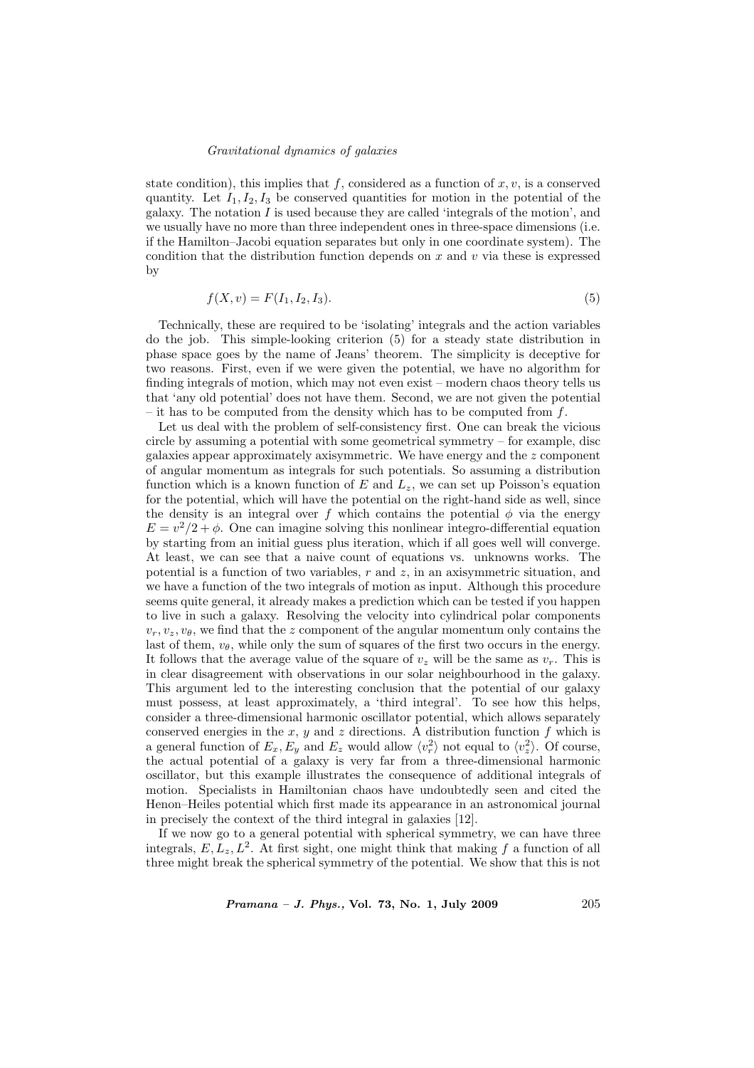state condition), this implies that f, considered as a function of  $x, v$ , is a conserved quantity. Let  $I_1, I_2, I_3$  be conserved quantities for motion in the potential of the galaxy. The notation  $I$  is used because they are called 'integrals of the motion', and we usually have no more than three independent ones in three-space dimensions (i.e. if the Hamilton–Jacobi equation separates but only in one coordinate system). The condition that the distribution function depends on  $x$  and  $v$  via these is expressed by

$$
f(X, v) = F(I_1, I_2, I_3). \tag{5}
$$

Technically, these are required to be 'isolating' integrals and the action variables do the job. This simple-looking criterion (5) for a steady state distribution in phase space goes by the name of Jeans' theorem. The simplicity is deceptive for two reasons. First, even if we were given the potential, we have no algorithm for finding integrals of motion, which may not even exist – modern chaos theory tells us that 'any old potential' does not have them. Second, we are not given the potential it has to be computed from the density which has to be computed from  $f$ .

Let us deal with the problem of self-consistency first. One can break the vicious circle by assuming a potential with some geometrical symmetry – for example, disc galaxies appear approximately axisymmetric. We have energy and the z component of angular momentum as integrals for such potentials. So assuming a distribution function which is a known function of  $E$  and  $L_z$ , we can set up Poisson's equation for the potential, which will have the potential on the right-hand side as well, since the density is an integral over f which contains the potential  $\phi$  via the energy  $E = v^2/2 + \phi$ . One can imagine solving this nonlinear integro-differential equation by starting from an initial guess plus iteration, which if all goes well will converge. At least, we can see that a naive count of equations vs. unknowns works. The potential is a function of two variables,  $r$  and  $z$ , in an axisymmetric situation, and we have a function of the two integrals of motion as input. Although this procedure seems quite general, it already makes a prediction which can be tested if you happen to live in such a galaxy. Resolving the velocity into cylindrical polar components  $v_r, v_z, v_\theta$ , we find that the z component of the angular momentum only contains the last of them,  $v_{\theta}$ , while only the sum of squares of the first two occurs in the energy. It follows that the average value of the square of  $v_z$  will be the same as  $v_r$ . This is in clear disagreement with observations in our solar neighbourhood in the galaxy. This argument led to the interesting conclusion that the potential of our galaxy must possess, at least approximately, a 'third integral'. To see how this helps, consider a three-dimensional harmonic oscillator potential, which allows separately conserved energies in the  $x, y$  and  $z$  directions. A distribution function  $f$  which is a general function of  $E_x, E_y$  and  $E_z$  would allow  $\langle v_r^2 \rangle$  not equal to  $\langle v_z^2 \rangle$ . Of course, the actual potential of a galaxy is very far from a three-dimensional harmonic oscillator, but this example illustrates the consequence of additional integrals of motion. Specialists in Hamiltonian chaos have undoubtedly seen and cited the Henon–Heiles potential which first made its appearance in an astronomical journal in precisely the context of the third integral in galaxies [12].

If we now go to a general potential with spherical symmetry, we can have three integrals,  $E, L_z, L^2$ . At first sight, one might think that making f a function of all three might break the spherical symmetry of the potential. We show that this is not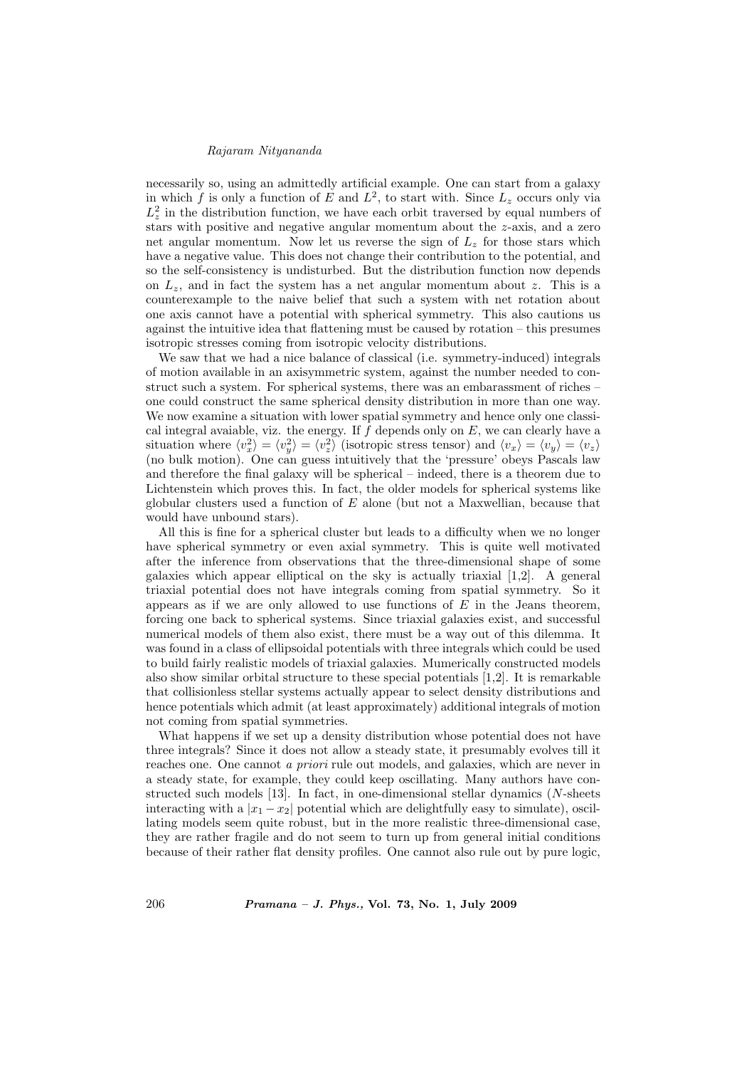necessarily so, using an admittedly artificial example. One can start from a galaxy in which f is only a function of E and  $L^2$ , to start with. Since  $L_z$  occurs only via  $L<sub>z</sub><sup>2</sup>$  in the distribution function, we have each orbit traversed by equal numbers of stars with positive and negative angular momentum about the  $z$ -axis, and a zero net angular momentum. Now let us reverse the sign of  $L<sub>z</sub>$  for those stars which have a negative value. This does not change their contribution to the potential, and so the self-consistency is undisturbed. But the distribution function now depends on  $L_z$ , and in fact the system has a net angular momentum about z. This is a counterexample to the naive belief that such a system with net rotation about one axis cannot have a potential with spherical symmetry. This also cautions us against the intuitive idea that flattening must be caused by rotation – this presumes isotropic stresses coming from isotropic velocity distributions.

We saw that we had a nice balance of classical (i.e. symmetry-induced) integrals of motion available in an axisymmetric system, against the number needed to construct such a system. For spherical systems, there was an embarassment of riches – one could construct the same spherical density distribution in more than one way. We now examine a situation with lower spatial symmetry and hence only one classical integral avaiable, viz. the energy. If  $f$  depends only on  $E$ , we can clearly have a situation where  $\langle v_x^2 \rangle = \langle v_y^2 \rangle = \langle v_z^2 \rangle$  (isotropic stress tensor) and  $\langle v_x \rangle = \langle v_y \rangle = \langle v_z \rangle$ (no bulk motion). One can guess intuitively that the 'pressure' obeys Pascals law and therefore the final galaxy will be spherical – indeed, there is a theorem due to Lichtenstein which proves this. In fact, the older models for spherical systems like globular clusters used a function of  $E$  alone (but not a Maxwellian, because that would have unbound stars).

All this is fine for a spherical cluster but leads to a difficulty when we no longer have spherical symmetry or even axial symmetry. This is quite well motivated after the inference from observations that the three-dimensional shape of some galaxies which appear elliptical on the sky is actually triaxial [1,2]. A general triaxial potential does not have integrals coming from spatial symmetry. So it appears as if we are only allowed to use functions of  $E$  in the Jeans theorem, forcing one back to spherical systems. Since triaxial galaxies exist, and successful numerical models of them also exist, there must be a way out of this dilemma. It was found in a class of ellipsoidal potentials with three integrals which could be used to build fairly realistic models of triaxial galaxies. Mumerically constructed models also show similar orbital structure to these special potentials [1,2]. It is remarkable that collisionless stellar systems actually appear to select density distributions and hence potentials which admit (at least approximately) additional integrals of motion not coming from spatial symmetries.

What happens if we set up a density distribution whose potential does not have three integrals? Since it does not allow a steady state, it presumably evolves till it reaches one. One cannot a priori rule out models, and galaxies, which are never in a steady state, for example, they could keep oscillating. Many authors have constructed such models [13]. In fact, in one-dimensional stellar dynamics (N-sheets interacting with a  $|x_1 - x_2|$  potential which are delightfully easy to simulate), oscillating models seem quite robust, but in the more realistic three-dimensional case, they are rather fragile and do not seem to turn up from general initial conditions because of their rather flat density profiles. One cannot also rule out by pure logic,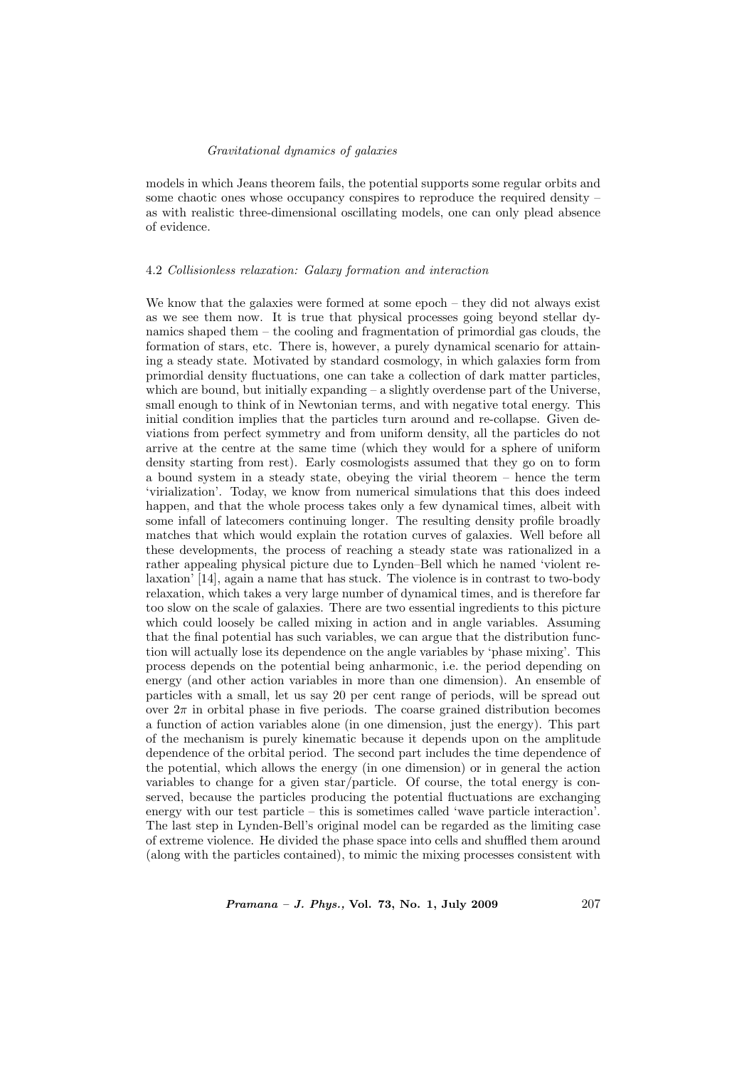models in which Jeans theorem fails, the potential supports some regular orbits and some chaotic ones whose occupancy conspires to reproduce the required density – as with realistic three-dimensional oscillating models, one can only plead absence of evidence.

# 4.2 Collisionless relaxation: Galaxy formation and interaction

We know that the galaxies were formed at some epoch – they did not always exist as we see them now. It is true that physical processes going beyond stellar dynamics shaped them – the cooling and fragmentation of primordial gas clouds, the formation of stars, etc. There is, however, a purely dynamical scenario for attaining a steady state. Motivated by standard cosmology, in which galaxies form from primordial density fluctuations, one can take a collection of dark matter particles, which are bound, but initially expanding  $-$  a slightly overdense part of the Universe, small enough to think of in Newtonian terms, and with negative total energy. This initial condition implies that the particles turn around and re-collapse. Given deviations from perfect symmetry and from uniform density, all the particles do not arrive at the centre at the same time (which they would for a sphere of uniform density starting from rest). Early cosmologists assumed that they go on to form a bound system in a steady state, obeying the virial theorem – hence the term 'virialization'. Today, we know from numerical simulations that this does indeed happen, and that the whole process takes only a few dynamical times, albeit with some infall of latecomers continuing longer. The resulting density profile broadly matches that which would explain the rotation curves of galaxies. Well before all these developments, the process of reaching a steady state was rationalized in a rather appealing physical picture due to Lynden–Bell which he named 'violent relaxation' [14], again a name that has stuck. The violence is in contrast to two-body relaxation, which takes a very large number of dynamical times, and is therefore far too slow on the scale of galaxies. There are two essential ingredients to this picture which could loosely be called mixing in action and in angle variables. Assuming that the final potential has such variables, we can argue that the distribution function will actually lose its dependence on the angle variables by 'phase mixing'. This process depends on the potential being anharmonic, i.e. the period depending on energy (and other action variables in more than one dimension). An ensemble of particles with a small, let us say 20 per cent range of periods, will be spread out over  $2\pi$  in orbital phase in five periods. The coarse grained distribution becomes a function of action variables alone (in one dimension, just the energy). This part of the mechanism is purely kinematic because it depends upon on the amplitude dependence of the orbital period. The second part includes the time dependence of the potential, which allows the energy (in one dimension) or in general the action variables to change for a given star/particle. Of course, the total energy is conserved, because the particles producing the potential fluctuations are exchanging energy with our test particle – this is sometimes called 'wave particle interaction'. The last step in Lynden-Bell's original model can be regarded as the limiting case of extreme violence. He divided the phase space into cells and shuffled them around (along with the particles contained), to mimic the mixing processes consistent with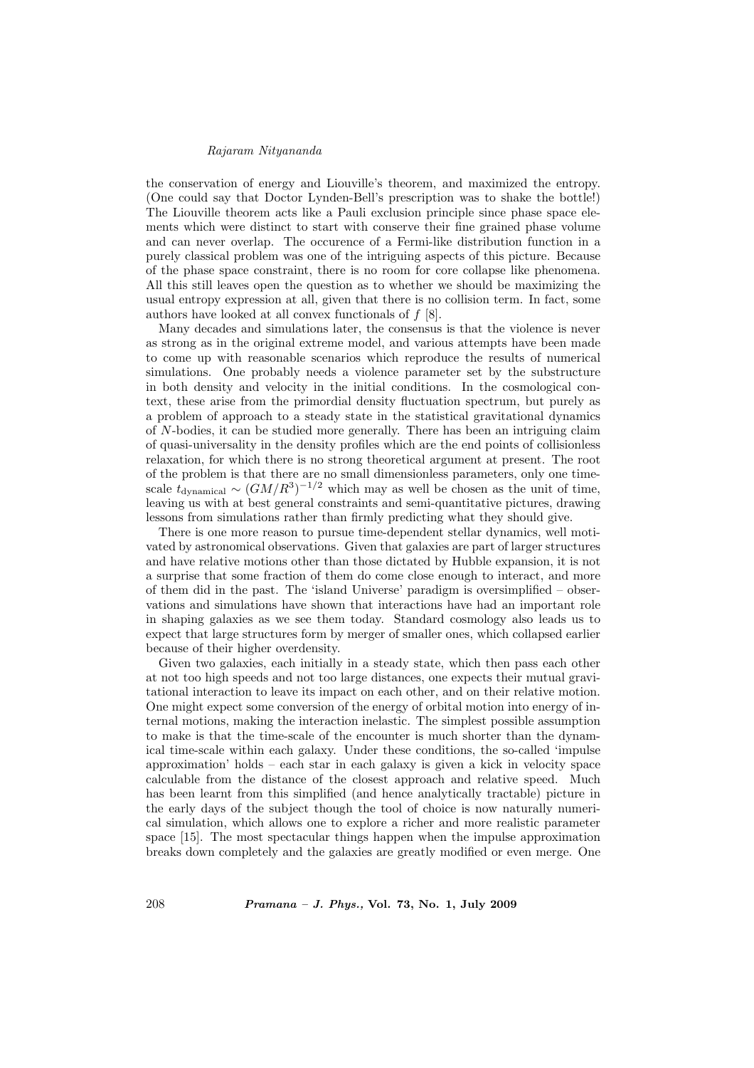the conservation of energy and Liouville's theorem, and maximized the entropy. (One could say that Doctor Lynden-Bell's prescription was to shake the bottle!) The Liouville theorem acts like a Pauli exclusion principle since phase space elements which were distinct to start with conserve their fine grained phase volume and can never overlap. The occurence of a Fermi-like distribution function in a purely classical problem was one of the intriguing aspects of this picture. Because of the phase space constraint, there is no room for core collapse like phenomena. All this still leaves open the question as to whether we should be maximizing the usual entropy expression at all, given that there is no collision term. In fact, some authors have looked at all convex functionals of f [8].

Many decades and simulations later, the consensus is that the violence is never as strong as in the original extreme model, and various attempts have been made to come up with reasonable scenarios which reproduce the results of numerical simulations. One probably needs a violence parameter set by the substructure in both density and velocity in the initial conditions. In the cosmological context, these arise from the primordial density fluctuation spectrum, but purely as a problem of approach to a steady state in the statistical gravitational dynamics of N-bodies, it can be studied more generally. There has been an intriguing claim of quasi-universality in the density profiles which are the end points of collisionless relaxation, for which there is no strong theoretical argument at present. The root of the problem is that there are no small dimensionless parameters, only one timescale  $t_{\text{dynamical}} \sim (GM/R^3)^{-1/2}$  which may as well be chosen as the unit of time, leaving us with at best general constraints and semi-quantitative pictures, drawing lessons from simulations rather than firmly predicting what they should give.

There is one more reason to pursue time-dependent stellar dynamics, well motivated by astronomical observations. Given that galaxies are part of larger structures and have relative motions other than those dictated by Hubble expansion, it is not a surprise that some fraction of them do come close enough to interact, and more of them did in the past. The 'island Universe' paradigm is oversimplified – observations and simulations have shown that interactions have had an important role in shaping galaxies as we see them today. Standard cosmology also leads us to expect that large structures form by merger of smaller ones, which collapsed earlier because of their higher overdensity.

Given two galaxies, each initially in a steady state, which then pass each other at not too high speeds and not too large distances, one expects their mutual gravitational interaction to leave its impact on each other, and on their relative motion. One might expect some conversion of the energy of orbital motion into energy of internal motions, making the interaction inelastic. The simplest possible assumption to make is that the time-scale of the encounter is much shorter than the dynamical time-scale within each galaxy. Under these conditions, the so-called 'impulse approximation' holds – each star in each galaxy is given a kick in velocity space calculable from the distance of the closest approach and relative speed. Much has been learnt from this simplified (and hence analytically tractable) picture in the early days of the subject though the tool of choice is now naturally numerical simulation, which allows one to explore a richer and more realistic parameter space [15]. The most spectacular things happen when the impulse approximation breaks down completely and the galaxies are greatly modified or even merge. One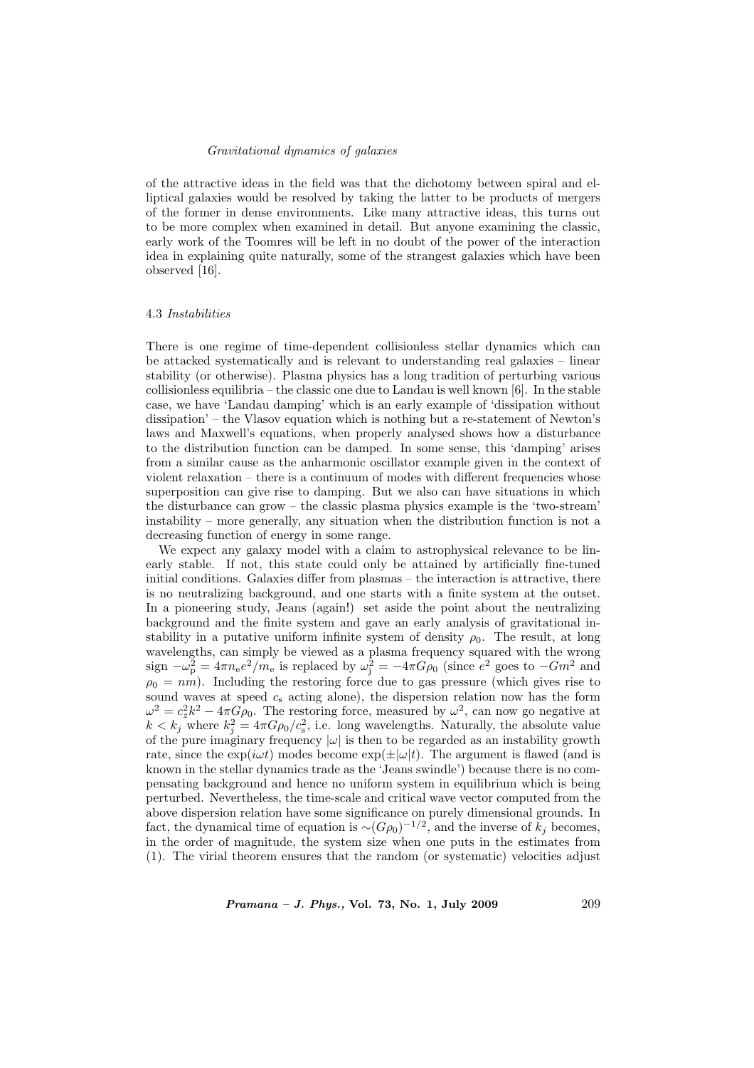of the attractive ideas in the field was that the dichotomy between spiral and elliptical galaxies would be resolved by taking the latter to be products of mergers of the former in dense environments. Like many attractive ideas, this turns out to be more complex when examined in detail. But anyone examining the classic, early work of the Toomres will be left in no doubt of the power of the interaction idea in explaining quite naturally, some of the strangest galaxies which have been observed [16].

#### 4.3 Instabilities

There is one regime of time-dependent collisionless stellar dynamics which can be attacked systematically and is relevant to understanding real galaxies – linear stability (or otherwise). Plasma physics has a long tradition of perturbing various collisionless equilibria – the classic one due to Landau is well known  $[6]$ . In the stable case, we have 'Landau damping' which is an early example of 'dissipation without dissipation' – the Vlasov equation which is nothing but a re-statement of Newton's laws and Maxwell's equations, when properly analysed shows how a disturbance to the distribution function can be damped. In some sense, this 'damping' arises from a similar cause as the anharmonic oscillator example given in the context of violent relaxation – there is a continuum of modes with different frequencies whose superposition can give rise to damping. But we also can have situations in which the disturbance can grow – the classic plasma physics example is the 'two-stream' instability – more generally, any situation when the distribution function is not a decreasing function of energy in some range.

We expect any galaxy model with a claim to astrophysical relevance to be linearly stable. If not, this state could only be attained by artificially fine-tuned initial conditions. Galaxies differ from plasmas – the interaction is attractive, there is no neutralizing background, and one starts with a finite system at the outset. In a pioneering study, Jeans (again!) set aside the point about the neutralizing background and the finite system and gave an early analysis of gravitational instability in a putative uniform infinite system of density  $\rho_0$ . The result, at long wavelengths, can simply be viewed as a plasma frequency squared with the wrong sign  $-\omega_p^2 = 4\pi n_e e^2/m_e$  is replaced by  $\omega_j^2 = -4\pi G \rho_0$  (since  $e^2$  goes to  $-Gm^2$  and  $\rho_0 = n\hat{m}$ ). Including the restoring force due to gas pressure (which gives rise to sound waves at speed  $c_s$  acting alone), the dispersion relation now has the form  $\omega^2 = c_z^2 k^2 - 4\pi G \rho_0$ . The restoring force, measured by  $\omega^2$ , can now go negative at  $k < k_j$  where  $k_j^2 = 4\pi G \rho_0/c_s^2$ , i.e. long wavelengths. Naturally, the absolute value of the pure imaginary frequency  $|\omega|$  is then to be regarded as an instability growth rate, since the  $\exp(i\omega t)$  modes become  $\exp(\pm|\omega|t)$ . The argument is flawed (and is known in the stellar dynamics trade as the 'Jeans swindle') because there is no compensating background and hence no uniform system in equilibrium which is being perturbed. Nevertheless, the time-scale and critical wave vector computed from the above dispersion relation have some significance on purely dimensional grounds. In fact, the dynamical time of equation is  $\sim (G\rho_0)^{-1/2}$ , and the inverse of  $k_j$  becomes, in the order of magnitude, the system size when one puts in the estimates from (1). The virial theorem ensures that the random (or systematic) velocities adjust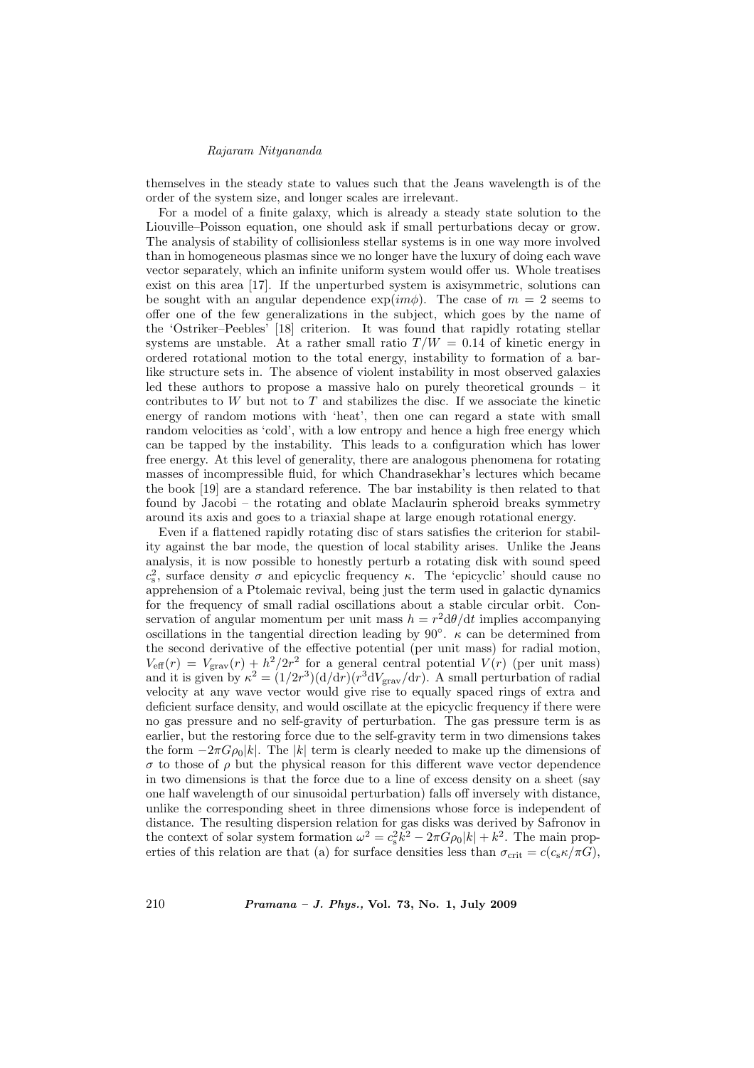themselves in the steady state to values such that the Jeans wavelength is of the order of the system size, and longer scales are irrelevant.

For a model of a finite galaxy, which is already a steady state solution to the Liouville–Poisson equation, one should ask if small perturbations decay or grow. The analysis of stability of collisionless stellar systems is in one way more involved than in homogeneous plasmas since we no longer have the luxury of doing each wave vector separately, which an infinite uniform system would offer us. Whole treatises exist on this area [17]. If the unperturbed system is axisymmetric, solutions can be sought with an angular dependence  $\exp(im\phi)$ . The case of  $m = 2$  seems to offer one of the few generalizations in the subject, which goes by the name of the 'Ostriker–Peebles' [18] criterion. It was found that rapidly rotating stellar systems are unstable. At a rather small ratio  $T/W = 0.14$  of kinetic energy in ordered rotational motion to the total energy, instability to formation of a barlike structure sets in. The absence of violent instability in most observed galaxies led these authors to propose a massive halo on purely theoretical grounds – it contributes to  $W$  but not to  $T$  and stabilizes the disc. If we associate the kinetic energy of random motions with 'heat', then one can regard a state with small random velocities as 'cold', with a low entropy and hence a high free energy which can be tapped by the instability. This leads to a configuration which has lower free energy. At this level of generality, there are analogous phenomena for rotating masses of incompressible fluid, for which Chandrasekhar's lectures which became the book [19] are a standard reference. The bar instability is then related to that found by Jacobi – the rotating and oblate Maclaurin spheroid breaks symmetry around its axis and goes to a triaxial shape at large enough rotational energy.

Even if a flattened rapidly rotating disc of stars satisfies the criterion for stability against the bar mode, the question of local stability arises. Unlike the Jeans analysis, it is now possible to honestly perturb a rotating disk with sound speed  $c_s^2$ , surface density σ and epicyclic frequency κ. The 'epicyclic' should cause no apprehension of a Ptolemaic revival, being just the term used in galactic dynamics for the frequency of small radial oscillations about a stable circular orbit. Conservation of angular momentum per unit mass  $h = r^2 d\theta/dt$  implies accompanying oscillations in the tangential direction leading by  $90°$ .  $\kappa$  can be determined from the second derivative of the effective potential (per unit mass) for radial motion,  $V_{\text{eff}}(r) = V_{\text{grav}}(r) + h^2/2r^2$  for a general central potential  $V(r)$  (per unit mass) and it is given by  $\kappa^2 = (1/2r^3)(d/dr)(r^3dV_{\text{grav}}/dr)$ . A small perturbation of radial velocity at any wave vector would give rise to equally spaced rings of extra and deficient surface density, and would oscillate at the epicyclic frequency if there were no gas pressure and no self-gravity of perturbation. The gas pressure term is as earlier, but the restoring force due to the self-gravity term in two dimensions takes the form  $-2\pi G \rho_0 |k|$ . The  $|k|$  term is clearly needed to make up the dimensions of σ to those of ρ but the physical reason for this different wave vector dependence in two dimensions is that the force due to a line of excess density on a sheet (say one half wavelength of our sinusoidal perturbation) falls off inversely with distance, unlike the corresponding sheet in three dimensions whose force is independent of distance. The resulting dispersion relation for gas disks was derived by Safronov in the context of solar system formation  $\omega^2 = c_s^2 k^2 - 2\pi G \rho_0 |k| + k^2$ . The main properties of this relation are that (a) for surface densities less than  $\sigma_{\rm crit} = c(c_{\rm s}\kappa/\pi G)$ ,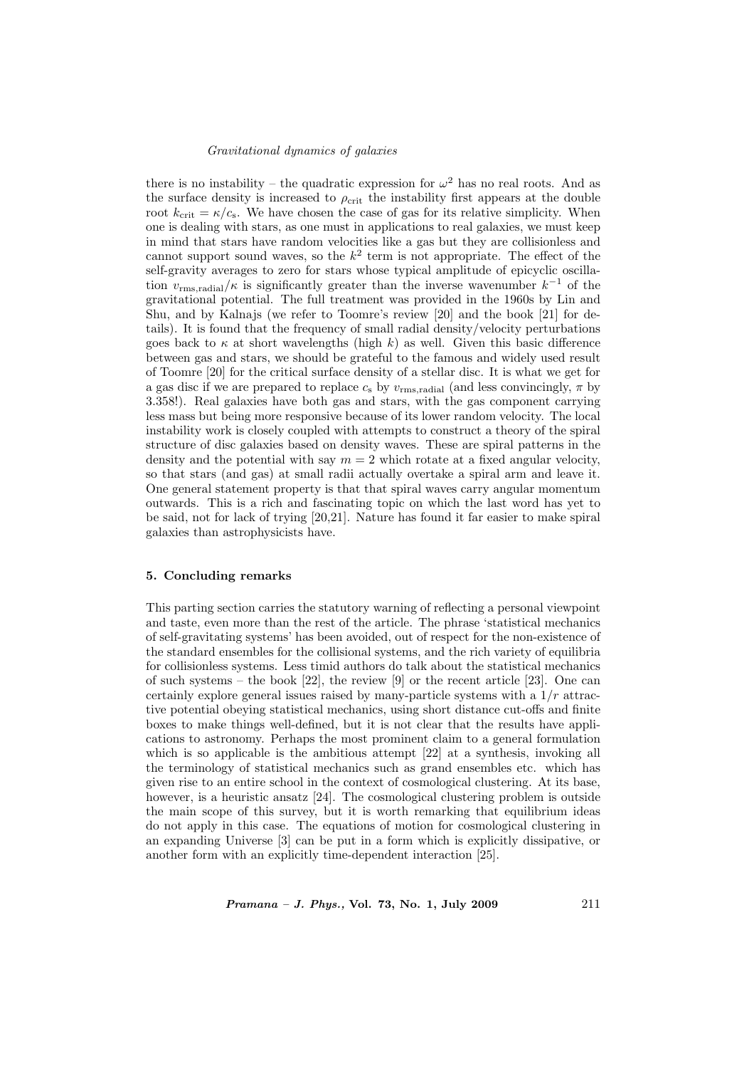there is no instability – the quadratic expression for  $\omega^2$  has no real roots. And as the surface density is increased to  $\rho_{\rm crit}$  the instability first appears at the double root  $k_{\text{crit}} = \kappa/c_s$ . We have chosen the case of gas for its relative simplicity. When one is dealing with stars, as one must in applications to real galaxies, we must keep in mind that stars have random velocities like a gas but they are collisionless and cannot support sound waves, so the  $k^2$  term is not appropriate. The effect of the self-gravity averages to zero for stars whose typical amplitude of epicyclic oscillation  $v_{\text{rms,radial}}/\kappa$  is significantly greater than the inverse wavenumber  $k^{-1}$  of the gravitational potential. The full treatment was provided in the 1960s by Lin and Shu, and by Kalnajs (we refer to Toomre's review [20] and the book [21] for details). It is found that the frequency of small radial density/velocity perturbations goes back to  $\kappa$  at short wavelengths (high k) as well. Given this basic difference between gas and stars, we should be grateful to the famous and widely used result of Toomre [20] for the critical surface density of a stellar disc. It is what we get for a gas disc if we are prepared to replace  $c_s$  by  $v_{\text{rms,radial}}$  (and less convincingly,  $\pi$  by 3.358!). Real galaxies have both gas and stars, with the gas component carrying less mass but being more responsive because of its lower random velocity. The local instability work is closely coupled with attempts to construct a theory of the spiral structure of disc galaxies based on density waves. These are spiral patterns in the density and the potential with say  $m = 2$  which rotate at a fixed angular velocity, so that stars (and gas) at small radii actually overtake a spiral arm and leave it. One general statement property is that that spiral waves carry angular momentum outwards. This is a rich and fascinating topic on which the last word has yet to be said, not for lack of trying [20,21]. Nature has found it far easier to make spiral galaxies than astrophysicists have.

## 5. Concluding remarks

This parting section carries the statutory warning of reflecting a personal viewpoint and taste, even more than the rest of the article. The phrase 'statistical mechanics of self-gravitating systems' has been avoided, out of respect for the non-existence of the standard ensembles for the collisional systems, and the rich variety of equilibria for collisionless systems. Less timid authors do talk about the statistical mechanics of such systems – the book  $[22]$ , the review  $[9]$  or the recent article  $[23]$ . One can certainly explore general issues raised by many-particle systems with a  $1/r$  attractive potential obeying statistical mechanics, using short distance cut-offs and finite boxes to make things well-defined, but it is not clear that the results have applications to astronomy. Perhaps the most prominent claim to a general formulation which is so applicable is the ambitious attempt [22] at a synthesis, invoking all the terminology of statistical mechanics such as grand ensembles etc. which has given rise to an entire school in the context of cosmological clustering. At its base, however, is a heuristic ansatz [24]. The cosmological clustering problem is outside the main scope of this survey, but it is worth remarking that equilibrium ideas do not apply in this case. The equations of motion for cosmological clustering in an expanding Universe [3] can be put in a form which is explicitly dissipative, or another form with an explicitly time-dependent interaction [25].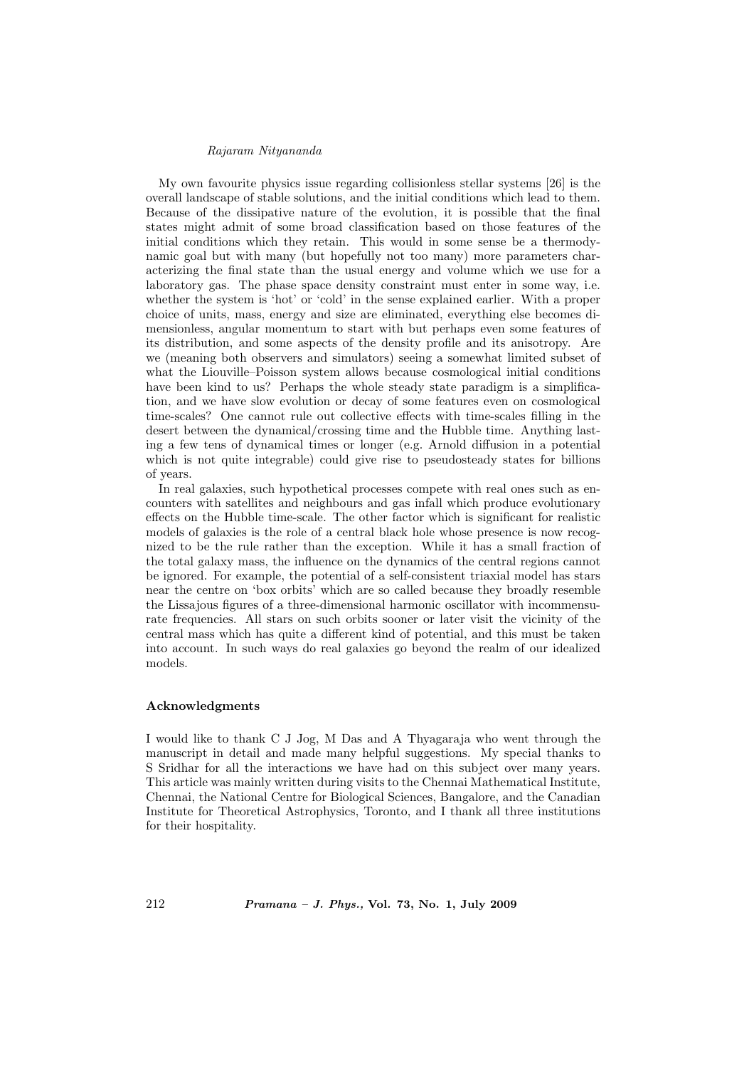My own favourite physics issue regarding collisionless stellar systems [26] is the overall landscape of stable solutions, and the initial conditions which lead to them. Because of the dissipative nature of the evolution, it is possible that the final states might admit of some broad classification based on those features of the initial conditions which they retain. This would in some sense be a thermodynamic goal but with many (but hopefully not too many) more parameters characterizing the final state than the usual energy and volume which we use for a laboratory gas. The phase space density constraint must enter in some way, i.e. whether the system is 'hot' or 'cold' in the sense explained earlier. With a proper choice of units, mass, energy and size are eliminated, everything else becomes dimensionless, angular momentum to start with but perhaps even some features of its distribution, and some aspects of the density profile and its anisotropy. Are we (meaning both observers and simulators) seeing a somewhat limited subset of what the Liouville–Poisson system allows because cosmological initial conditions have been kind to us? Perhaps the whole steady state paradigm is a simplification, and we have slow evolution or decay of some features even on cosmological time-scales? One cannot rule out collective effects with time-scales filling in the desert between the dynamical/crossing time and the Hubble time. Anything lasting a few tens of dynamical times or longer (e.g. Arnold diffusion in a potential which is not quite integrable) could give rise to pseudosteady states for billions of years.

In real galaxies, such hypothetical processes compete with real ones such as encounters with satellites and neighbours and gas infall which produce evolutionary effects on the Hubble time-scale. The other factor which is significant for realistic models of galaxies is the role of a central black hole whose presence is now recognized to be the rule rather than the exception. While it has a small fraction of the total galaxy mass, the influence on the dynamics of the central regions cannot be ignored. For example, the potential of a self-consistent triaxial model has stars near the centre on 'box orbits' which are so called because they broadly resemble the Lissajous figures of a three-dimensional harmonic oscillator with incommensurate frequencies. All stars on such orbits sooner or later visit the vicinity of the central mass which has quite a different kind of potential, and this must be taken into account. In such ways do real galaxies go beyond the realm of our idealized models.

#### Acknowledgments

I would like to thank C J Jog, M Das and A Thyagaraja who went through the manuscript in detail and made many helpful suggestions. My special thanks to S Sridhar for all the interactions we have had on this subject over many years. This article was mainly written during visits to the Chennai Mathematical Institute, Chennai, the National Centre for Biological Sciences, Bangalore, and the Canadian Institute for Theoretical Astrophysics, Toronto, and I thank all three institutions for their hospitality.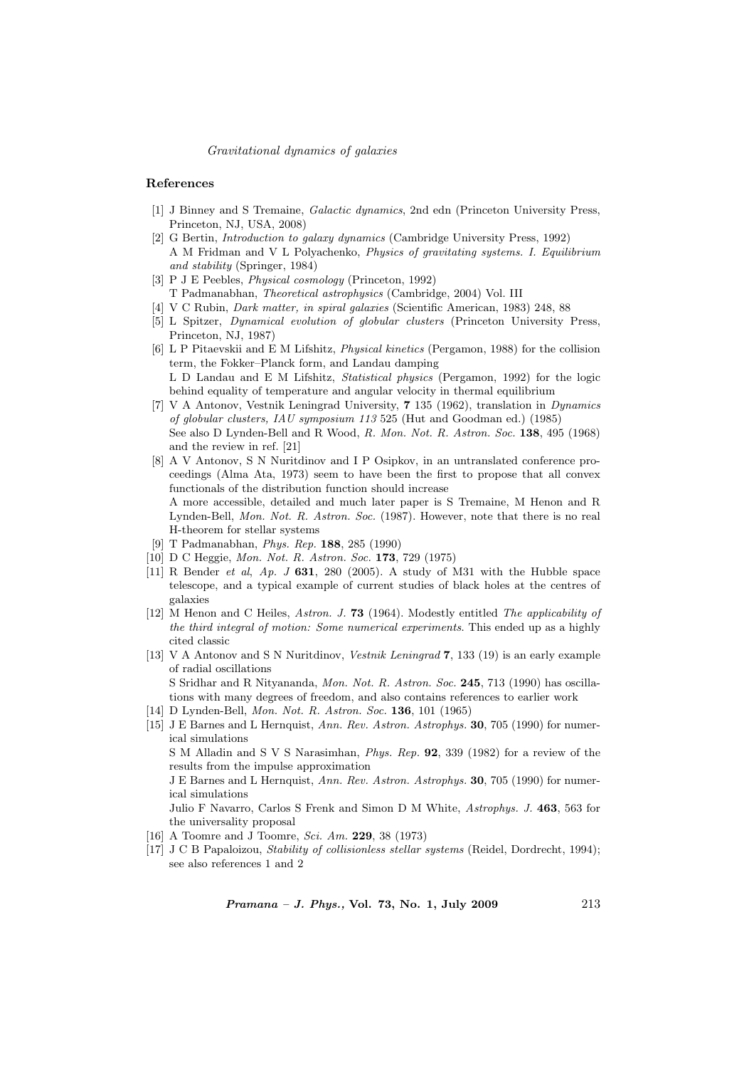#### References

- [1] J Binney and S Tremaine, Galactic dynamics, 2nd edn (Princeton University Press, Princeton, NJ, USA, 2008)
- [2] G Bertin, Introduction to galaxy dynamics (Cambridge University Press, 1992) A M Fridman and V L Polyachenko, Physics of gravitating systems. I. Equilibrium and stability (Springer, 1984)
- [3] P J E Peebles, Physical cosmology (Princeton, 1992)
- T Padmanabhan, Theoretical astrophysics (Cambridge, 2004) Vol. III
- [4] V C Rubin, Dark matter, in spiral galaxies (Scientific American, 1983) 248, 88
- [5] L Spitzer, Dynamical evolution of globular clusters (Princeton University Press, Princeton, NJ, 1987)
- [6] L P Pitaevskii and E M Lifshitz, Physical kinetics (Pergamon, 1988) for the collision term, the Fokker–Planck form, and Landau damping L D Landau and E M Lifshitz, Statistical physics (Pergamon, 1992) for the logic behind equality of temperature and angular velocity in thermal equilibrium
- V A Antonov, Vestnik Leningrad University, 7 135 (1962), translation in *Dynamics* of globular clusters, IAU symposium 113 525 (Hut and Goodman ed.) (1985) See also D Lynden-Bell and R Wood, R. Mon. Not. R. Astron. Soc. 138, 495 (1968) and the review in ref. [21]
- [8] A V Antonov, S N Nuritdinov and I P Osipkov, in an untranslated conference proceedings (Alma Ata, 1973) seem to have been the first to propose that all convex functionals of the distribution function should increase A more accessible, detailed and much later paper is S Tremaine, M Henon and R Lynden-Bell, Mon. Not. R. Astron. Soc. (1987). However, note that there is no real H-theorem for stellar systems
- [9] T Padmanabhan, Phys. Rep. 188, 285 (1990)
- [10] D C Heggie, Mon. Not. R. Astron. Soc. 173, 729 (1975)
- [11] R Bender *et al, Ap. J* 631, 280 (2005). A study of M31 with the Hubble space telescope, and a typical example of current studies of black holes at the centres of galaxies
- [12] M Henon and C Heiles, Astron. J. 73 (1964). Modestly entitled The applicability of the third integral of motion: Some numerical experiments. This ended up as a highly cited classic
- [13] V A Antonov and S N Nuritdinov, Vestnik Leningrad 7, 133 (19) is an early example of radial oscillations S Sridhar and R Nityananda, Mon. Not. R. Astron. Soc. 245, 713 (1990) has oscillations with many degrees of freedom, and also contains references to earlier work
- [14] D Lynden-Bell, Mon. Not. R. Astron. Soc. 136, 101 (1965)
- [15] J E Barnes and L Hernquist, Ann. Rev. Astron. Astrophys. **30**, 705 (1990) for numerical simulations

S M Alladin and S V S Narasimhan, Phys. Rep. 92, 339 (1982) for a review of the results from the impulse approximation

J E Barnes and L Hernquist, Ann. Rev. Astron. Astrophys. 30, 705 (1990) for numerical simulations

Julio F Navarro, Carlos S Frenk and Simon D M White, Astrophys. J. 463, 563 for the universality proposal

- [16] A Toomre and J Toomre, Sci. Am. **229**, 38 (1973)
- [17] J C B Papaloizou, Stability of collisionless stellar systems (Reidel, Dordrecht, 1994); see also references 1 and 2